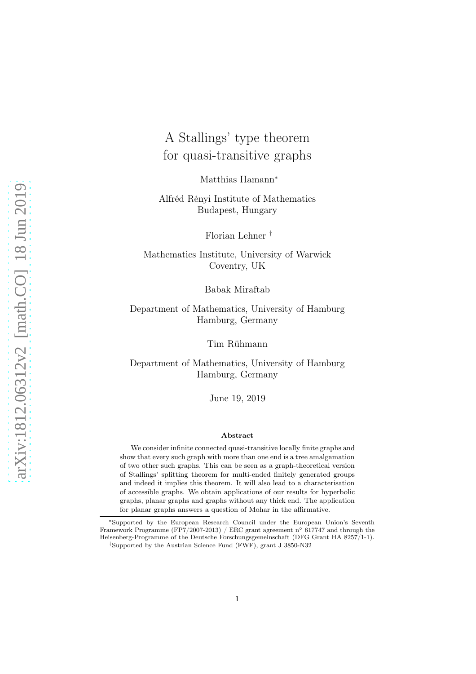# A Stallings' type theorem for quasi-transitive graphs

Matthias Hamann<sup>∗</sup>

Alfréd Rényi Institute of Mathematics Budapest, Hungary

Florian Lehner †

Mathematics Institute, University of Warwick Coventry, UK

Babak Miraftab

Department of Mathematics, University of Hamburg Hamburg, Germany

Tim Rühmann

Department of Mathematics, University of Hamburg Hamburg, Germany

June 19, 2019

#### Abstract

We consider infinite connected quasi-transitive locally finite graphs and show that every such graph with more than one end is a tree amalgamation of two other such graphs. This can be seen as a graph-theoretical version of Stallings' splitting theorem for multi-ended finitely generated groups and indeed it implies this theorem. It will also lead to a characterisation of accessible graphs. We obtain applications of our results for hyperbolic graphs, planar graphs and graphs without any thick end. The application for planar graphs answers a question of Mohar in the affirmative.

<sup>∗</sup>Supported by the European Research Council under the European Union's Seventh Framework Programme (FP7/2007-2013) / ERC grant agreement n<sup>o</sup> 617747 and through the Heisenberg-Programme of the Deutsche Forschungsgemeinschaft (DFG Grant HA 8257/1-1). †Supported by the Austrian Science Fund (FWF), grant J 3850-N32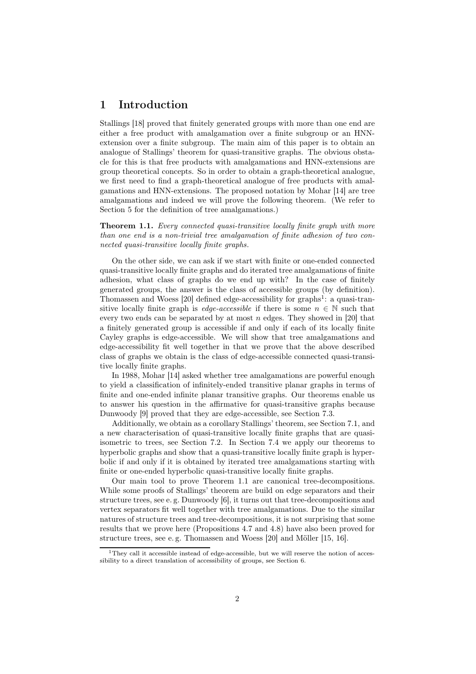# 1 Introduction

Stallings [18] proved that finitely generated groups with more than one end are either a free product with amalgamation over a finite subgroup or an HNNextension over a finite subgroup. The main aim of this paper is to obtain an analogue of Stallings' theorem for quasi-transitive graphs. The obvious obstacle for this is that free products with amalgamations and HNN-extensions are group theoretical concepts. So in order to obtain a graph-theoretical analogue, we first need to find a graph-theoretical analogue of free products with amalgamations and HNN-extensions. The proposed notation by Mohar [14] are tree amalgamations and indeed we will prove the following theorem. (We refer to Section 5 for the definition of tree amalgamations.)

**Theorem 1.1.** Every connected quasi-transitive locally finite graph with more than one end is a non-trivial tree amalgamation of finite adhesion of two connected quasi-transitive locally finite graphs.

On the other side, we can ask if we start with finite or one-ended connected quasi-transitive locally finite graphs and do iterated tree amalgamations of finite adhesion, what class of graphs do we end up with? In the case of finitely generated groups, the answer is the class of accessible groups (by definition). Thomassen and Woess [20] defined edge-accessibility for graphs<sup>1</sup>: a quasi-transitive locally finite graph is *edge-accessible* if there is some  $n \in \mathbb{N}$  such that every two ends can be separated by at most  $n$  edges. They showed in [20] that a finitely generated group is accessible if and only if each of its locally finite Cayley graphs is edge-accessible. We will show that tree amalgamations and edge-accessibility fit well together in that we prove that the above described class of graphs we obtain is the class of edge-accessible connected quasi-transitive locally finite graphs.

In 1988, Mohar [14] asked whether tree amalgamations are powerful enough to yield a classification of infinitely-ended transitive planar graphs in terms of finite and one-ended infinite planar transitive graphs. Our theorems enable us to answer his question in the affirmative for quasi-transitive graphs because Dunwoody [9] proved that they are edge-accessible, see Section 7.3.

Additionally, we obtain as a corollary Stallings' theorem, see Section 7.1, and a new characterisation of quasi-transitive locally finite graphs that are quasiisometric to trees, see Section 7.2. In Section 7.4 we apply our theorems to hyperbolic graphs and show that a quasi-transitive locally finite graph is hyperbolic if and only if it is obtained by iterated tree amalgamations starting with finite or one-ended hyperbolic quasi-transitive locally finite graphs.

Our main tool to prove Theorem 1.1 are canonical tree-decompositions. While some proofs of Stallings' theorem are build on edge separators and their structure trees, see e. g. Dunwoody [6], it turns out that tree-decompositions and vertex separators fit well together with tree amalgamations. Due to the similar natures of structure trees and tree-decompositions, it is not surprising that some results that we prove here (Propositions 4.7 and 4.8) have also been proved for structure trees, see e. g. Thomassen and Woess [20] and Möller [15, 16].

<sup>&</sup>lt;sup>1</sup>They call it accessible instead of edge-accessible, but we will reserve the notion of accessibility to a direct translation of accessibility of groups, see Section 6.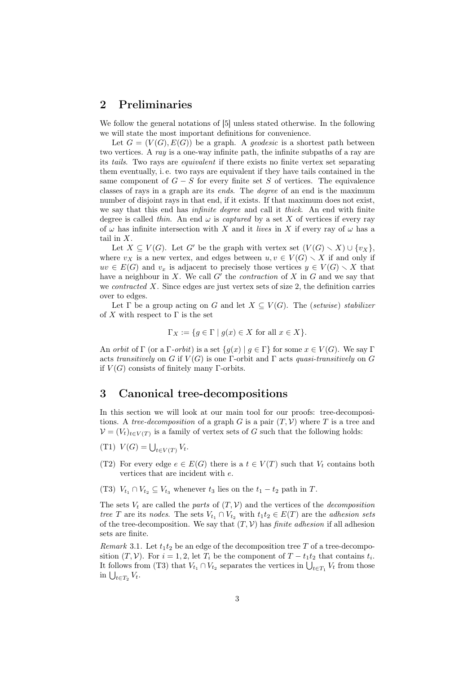# 2 Preliminaries

We follow the general notations of [5] unless stated otherwise. In the following we will state the most important definitions for convenience.

Let  $G = (V(G), E(G))$  be a graph. A *geodesic* is a shortest path between two vertices. A ray is a one-way infinite path, the infinite subpaths of a ray are its tails. Two rays are equivalent if there exists no finite vertex set separating them eventually, i. e. two rays are equivalent if they have tails contained in the same component of  $G - S$  for every finite set S of vertices. The equivalence classes of rays in a graph are its ends. The degree of an end is the maximum number of disjoint rays in that end, if it exists. If that maximum does not exist, we say that this end has *infinite degree* and call it *thick*. An end with finite degree is called thin. An end  $\omega$  is *captured* by a set X of vertices if every ray of  $\omega$  has infinite intersection with X and it lives in X if every ray of  $\omega$  has a tail in X.

Let  $X \subseteq V(G)$ . Let G' be the graph with vertex set  $(V(G) \setminus X) \cup \{v_X\},$ where  $v_X$  is a new vertex, and edges between  $u, v \in V(G) \setminus X$  if and only if  $uv \in E(G)$  and  $v_x$  is adjacent to precisely those vertices  $y \in V(G) \setminus X$  that have a neighbour in X. We call  $G'$  the *contraction* of X in G and we say that we *contracted*  $X$ . Since edges are just vertex sets of size 2, the definition carries over to edges.

Let  $\Gamma$  be a group acting on G and let  $X \subseteq V(G)$ . The (setwise) stabilizer of X with respect to  $\Gamma$  is the set

$$
\Gamma_X := \{ g \in \Gamma \mid g(x) \in X \text{ for all } x \in X \}.
$$

An orbit of  $\Gamma$  (or a  $\Gamma$ -orbit) is a set  $\{g(x) \mid g \in \Gamma\}$  for some  $x \in V(G)$ . We say  $\Gamma$ acts transitively on G if  $V(G)$  is one Γ-orbit and Γ acts quasi-transitively on G if  $V(G)$  consists of finitely many Γ-orbits.

# 3 Canonical tree-decompositions

In this section we will look at our main tool for our proofs: tree-decompositions. A tree-decomposition of a graph G is a pair  $(T, V)$  where T is a tree and  $\mathcal{V} = (V_t)_{t \in V(T)}$  is a family of vertex sets of G such that the following holds:

- (T1)  $V(G) = \bigcup_{t \in V(T)} V_t$ .
- (T2) For every edge  $e \in E(G)$  there is a  $t \in V(T)$  such that  $V_t$  contains both vertices that are incident with e.
- (T3)  $V_{t_1} \cap V_{t_2} \subseteq V_{t_3}$  whenever  $t_3$  lies on the  $t_1 t_2$  path in T.

The sets  $V_t$  are called the parts of  $(T, V)$  and the vertices of the *decomposition* tree T are its nodes. The sets  $V_{t_1} \cap V_{t_2}$  with  $t_1t_2 \in E(T)$  are the adhesion sets of the tree-decomposition. We say that  $(T, V)$  has *finite adhesion* if all adhesion sets are finite.

Remark 3.1. Let  $t_1t_2$  be an edge of the decomposition tree T of a tree-decomposition  $(T, V)$ . For  $i = 1, 2$ , let  $T_i$  be the component of  $T - t_1 t_2$  that contains  $t_i$ . It follows from (T3) that  $V_{t_1} \cap V_{t_2}$  separates the vertices in  $\bigcup_{t \in T_1} V_t$  from those in  $\bigcup_{t\in T_2} V_t$ .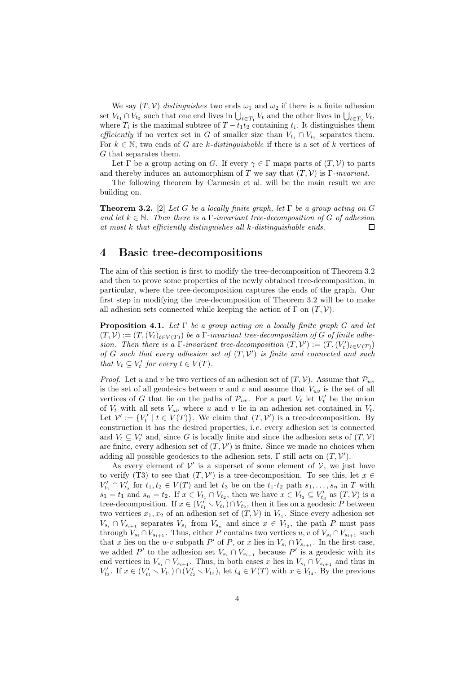We say  $(T, V)$  distinguishes two ends  $\omega_1$  and  $\omega_2$  if there is a finite adhesion set  $V_{t_1} \cap V_{t_2}$  such that one end lives in  $\bigcup_{t \in T_1} V_t$  and the other lives in  $\bigcup_{t \in T_2} V_t$ , where  $T_i$  is the maximal subtree of  $T - t_1 t_2$  containing  $t_i$ . It distinguishes them efficiently if no vertex set in G of smaller size than  $V_{t_1} \cap V_{t_2}$  separates them. For  $k \in \mathbb{N}$ , two ends of G are k-distinguishable if there is a set of k vertices of G that separates them.

Let  $\Gamma$  be a group acting on G. If every  $\gamma \in \Gamma$  maps parts of  $(T, V)$  to parts and thereby induces an automorphism of T we say that  $(T, V)$  is  $\Gamma$ -invariant.

The following theorem by Carmesin et al. will be the main result we are building on.

**Theorem 3.2.** [2] Let G be a locally finite graph, let  $\Gamma$  be a group acting on G and let  $k \in \mathbb{N}$ . Then there is a  $\Gamma$ -invariant tree-decomposition of G of adhesion at most k that efficiently distinguishes all k-distinguishable ends. П

## 4 Basic tree-decompositions

The aim of this section is first to modify the tree-decomposition of Theorem 3.2 and then to prove some properties of the newly obtained tree-decomposition, in particular, where the tree-decomposition captures the ends of the graph. Our first step in modifying the tree-decomposition of Theorem 3.2 will be to make all adhesion sets connected while keeping the action of  $\Gamma$  on  $(T, V)$ .

**Proposition 4.1.** Let  $\Gamma$  be a group acting on a locally finite graph G and let  $(T, \mathcal{V}) := (T, (V_t)_{t \in V(T)})$  be a  $\Gamma$ -invariant tree-decomposition of G of finite adhesion. Then there is a  $\Gamma$ -invariant tree-decomposition  $(T, \mathcal{V}') := (T, (V'_t)_{t \in V(T)})$ of G such that every adhesion set of  $(T, V')$  is finite and connected and such that  $V_t \subseteq V'_t$  for every  $t \in V(T)$ .

*Proof.* Let u and v be two vertices of an adhesion set of  $(T, V)$ . Assume that  $\mathcal{P}_{uv}$ is the set of all geodesics between u and v and assume that  $V_{uv}$  is the set of all vertices of G that lie on the paths of  $\mathcal{P}_{uv}$ . For a part  $V_t$  let  $V'_t$  be the union of  $V_t$  with all sets  $V_{uv}$  where u and v lie in an adhesion set contained in  $V_t$ . Let  $\mathcal{V}' := \{V'_t \mid t \in V(T)\}$ . We claim that  $(T, \mathcal{V}')$  is a tree-decomposition. By construction it has the desired properties, i. e. every adhesion set is connected and  $V_t \subseteq V'_t$  and, since G is locally finite and since the adhesion sets of  $(T, V)$ are finite, every adhesion set of  $(T, \mathcal{V}')$  is finite. Since we made no choices when adding all possible geodesics to the adhesion sets,  $\Gamma$  still acts on  $(T, \mathcal{V}')$ .

As every element of  $V'$  is a superset of some element of  $V$ , we just have to verify (T3) to see that  $(T, V')$  is a tree-decomposition. To see this, let  $x \in$  $V'_{t_1} \cap V'_{t_2}$  for  $t_1, t_2 \in V(T)$  and let  $t_3$  be on the  $t_1-t_2$  path  $s_1, \ldots, s_n$  in T with  $s_1 = t_1$  and  $s_n = t_2$ . If  $x \in V_{t_1} \cap V_{t_2}$ , then we have  $x \in V_{t_3} \subseteq V'_{t_3}$  as  $(T, V)$  is a tree-decomposition. If  $x \in (V_{t_1} \setminus V_{t_1}) \cap V_{t_2}$ , then it lies on a geodesic P between two vertices  $x_1, x_2$  of an adhesion set of  $(T, V)$  in  $V_{t_1}$ . Since every adhesion set  $V_{s_i} \cap V_{s_{i+1}}$  separates  $V_{s_1}$  from  $V_{s_n}$  and since  $x \in V_{t_2}$ , the path P must pass through  $V_{s_i} \cap V_{s_{i+1}}$ . Thus, either P contains two vertices  $u, v$  of  $V_{s_i} \cap V_{s_{i+1}}$  such that x lies on the u-v subpath P' of P, or x lies in  $V_{s_i} \cap V_{s_{i+1}}$ . In the first case, we added P' to the adhesion set  $V_{s_i} \cap V_{s_{i+1}}$  because P' is a geodesic with its end vertices in  $V_{s_i} \cap V_{s_{i+1}}$ . Thus, in both cases x lies in  $V_{s_i} \cap V_{s_{i+1}}$  and thus in  $V'_{t_3}$ . If  $x \in (V'_{t_1} \setminus V_{t_1}) \cap (V'_{t_2} \setminus V_{t_2})$ , let  $t_4 \in V(T)$  with  $x \in V_{t_4}$ . By the previous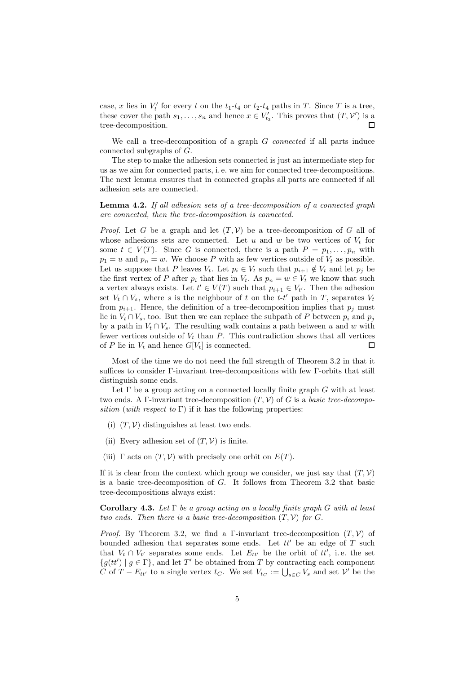case, x lies in  $V'_t$  for every t on the  $t_1-t_4$  or  $t_2-t_4$  paths in T. Since T is a tree, these cover the path  $s_1, \ldots, s_n$  and hence  $x \in V'_{t_3}$ . This proves that  $(T, \mathcal{V}')$  is a tree-decomposition.  $\Box$ 

We call a tree-decomposition of a graph  $G$  *connected* if all parts induce connected subgraphs of G.

The step to make the adhesion sets connected is just an intermediate step for us as we aim for connected parts, i. e. we aim for connected tree-decompositions. The next lemma ensures that in connected graphs all parts are connected if all adhesion sets are connected.

#### Lemma 4.2. If all adhesion sets of a tree-decomposition of a connected graph are connected, then the tree-decomposition is connected.

*Proof.* Let G be a graph and let  $(T, V)$  be a tree-decomposition of G all of whose adhesions sets are connected. Let u and w be two vertices of  $V_t$  for some  $t \in V(T)$ . Since G is connected, there is a path  $P = p_1, \ldots, p_n$  with  $p_1 = u$  and  $p_n = w$ . We choose P with as few vertices outside of  $V_t$  as possible. Let us suppose that P leaves  $V_t$ . Let  $p_i \in V_t$  such that  $p_{i+1} \notin V_t$  and let  $p_i$  be the first vertex of P after  $p_i$  that lies in  $V_t$ . As  $p_n = w \in V_t$  we know that such a vertex always exists. Let  $t' \in V(T)$  such that  $p_{i+1} \in V_{t'}$ . Then the adhesion set  $V_t \cap V_s$ , where s is the neighbour of t on the t-t' path in T, separates  $V_t$ from  $p_{i+1}$ . Hence, the definition of a tree-decomposition implies that  $p_i$  must lie in  $V_t \cap V_s$ , too. But then we can replace the subpath of P between  $p_i$  and  $p_j$ by a path in  $V_t \cap V_s$ . The resulting walk contains a path between u and w with fewer vertices outside of  $V_t$  than  $P$ . This contradiction shows that all vertices of P lie in  $V_t$  and hence  $G[V_t]$  is connected.  $\Box$ 

Most of the time we do not need the full strength of Theorem 3.2 in that it suffices to consider Γ-invariant tree-decompositions with few Γ-orbits that still distinguish some ends.

Let  $\Gamma$  be a group acting on a connected locally finite graph  $G$  with at least two ends. A Γ-invariant tree-decomposition  $(T, V)$  of G is a basic tree-decomposition (with respect to  $\Gamma$ ) if it has the following properties:

- (i)  $(T, V)$  distinguishes at least two ends.
- (ii) Every adhesion set of  $(T, V)$  is finite.
- (iii)  $\Gamma$  acts on  $(T, V)$  with precisely one orbit on  $E(T)$ .

If it is clear from the context which group we consider, we just say that  $(T, V)$ is a basic tree-decomposition of  $G$ . It follows from Theorem 3.2 that basic tree-decompositions always exist:

Corollary 4.3. Let  $\Gamma$  be a group acting on a locally finite graph G with at least two ends. Then there is a basic tree-decomposition  $(T, V)$  for  $G$ .

*Proof.* By Theorem 3.2, we find a Γ-invariant tree-decomposition  $(T, V)$  of bounded adhesion that separates some ends. Let  $tt'$  be an edge of T such that  $V_t \cap V_{t'}$  separates some ends. Let  $E_{tt'}$  be the orbit of  $tt'$ , i.e. the set  ${g(tt') | g \in \Gamma}$ , and let T' be obtained from T by contracting each component C of  $T - E_{tt'}$  to a single vertex  $t_C$ . We set  $V_{t_C} := \bigcup_{s \in C} V_s$  and set  $\mathcal{V}'$  be the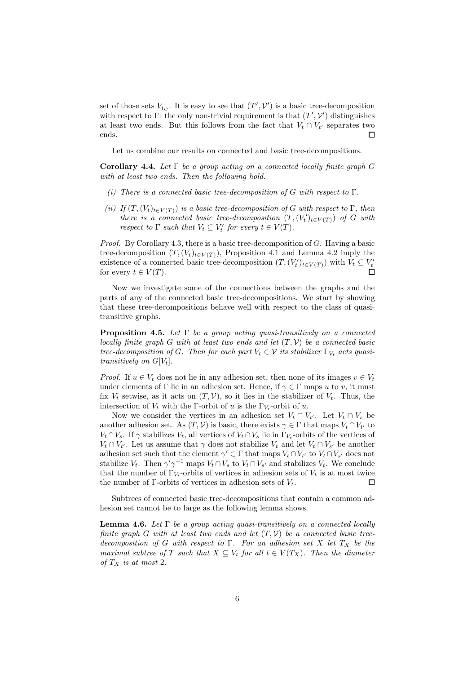set of those sets  $V_{t_C}$ . It is easy to see that  $(T', \mathcal{V}')$  is a basic tree-decomposition with respect to  $\Gamma$ : the only non-trivial requirement is that  $(T', \mathcal{V}')$  distinguishes at least two ends. But this follows from the fact that  $V_t \cap V_{t'}$  separates two ends.  $\Box$ 

Let us combine our results on connected and basic tree-decompositions.

Corollary 4.4. Let  $\Gamma$  be a group acting on a connected locally finite graph G with at least two ends. Then the following hold.

- (i) There is a connected basic tree-decomposition of G with respect to  $\Gamma$ .
- (ii) If  $(T,(V_t)_{t\in V(T)})$  is a basic tree-decomposition of G with respect to  $\Gamma$ , then there is a connected basic tree-decomposition  $(T,(V_t')_{t\in V(T)})$  of G with respect to  $\Gamma$  such that  $V_t \subseteq V'_t$  for every  $t \in V(T)$ .

*Proof.* By Corollary 4.3, there is a basic tree-decomposition of  $G$ . Having a basic tree-decomposition  $(T,(V_t)_{t\in V(T)})$ , Proposition 4.1 and Lemma 4.2 imply the existence of a connected basic tree-decomposition  $(T, (V_t')_{t \in V(T)})$  with  $V_t \subseteq V_t'$ for every  $t \in V(T)$ .

Now we investigate some of the connections between the graphs and the parts of any of the connected basic tree-decompositions. We start by showing that these tree-decompositions behave well with respect to the class of quasitransitive graphs.

**Proposition 4.5.** Let  $\Gamma$  be a group acting quasi-transitively on a connected locally finite graph G with at least two ends and let  $(T, V)$  be a connected basic tree-decomposition of G. Then for each part  $V_t \in \mathcal{V}$  its stabilizer  $\Gamma_{V_t}$  acts quasitransitively on  $G[V_t]$ .

*Proof.* If  $u \in V_t$  does not lie in any adhesion set, then none of its images  $v \in V_t$ under elements of Γ lie in an adhesion set. Hence, if  $\gamma \in \Gamma$  maps u to v, it must fix  $V_t$  setwise, as it acts on  $(T, V)$ , so it lies in the stabilizer of  $V_t$ . Thus, the intersection of  $V_t$  with the Γ-orbit of u is the  $\Gamma_{V_t}$ -orbit of u.

Now we consider the vertices in an adhesion set  $V_t \cap V_{t'}$ . Let  $V_t \cap V_s$  be another adhesion set. As  $(T, V)$  is basic, there exists  $\gamma \in \Gamma$  that maps  $V_t \cap V_{t'}$  to  $V_t \cap V_s$ . If  $\gamma$  stabilizes  $V_t$ , all vertices of  $V_t \cap V_s$  lie in  $\Gamma_{V_t}$ -orbits of the vertices of  $V_t \cap V_{t'}$ . Let us assume that  $\gamma$  does not stabilize  $V_t$  and let  $V_t \cap V_{s'}$  be another adhesion set such that the element  $\gamma' \in \Gamma$  that maps  $V_t \cap V_{t'}$  to  $V_t \cap V_{s'}$  does not stabilize  $V_t$ . Then  $\gamma' \gamma^{-1}$  maps  $V_t \cap V_s$  to  $V_t \cap V_{s'}$  and stabilizes  $V_t$ . We conclude that the number of  $\Gamma_{V_t}$ -orbits of vertices in adhesion sets of  $V_t$  is at most twice the number of  $\Gamma$ -orbits of vertices in adhesion sets of  $V_t$ .  $\Box$ 

Subtrees of connected basic tree-decompositions that contain a common adhesion set cannot be to large as the following lemma shows.

**Lemma 4.6.** Let  $\Gamma$  be a group acting quasi-transitively on a connected locally finite graph G with at least two ends and let  $(T, V)$  be a connected basic treedecomposition of G with respect to Γ. For an adhesion set X let  $T_X$  be the maximal subtree of T such that  $X \subseteq V_t$  for all  $t \in V(T_X)$ . Then the diameter of  $T_X$  is at most 2.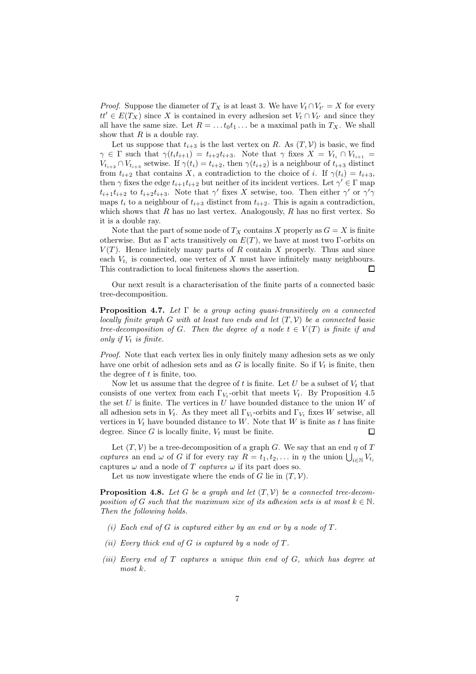*Proof.* Suppose the diameter of  $T_X$  is at least 3. We have  $V_t \cap V_{t'} = X$  for every  $tt' \in E(T_X)$  since X is contained in every adhesion set  $V_t \cap V_{t'}$  and since they all have the same size. Let  $R = \ldots t_0 t_1 \ldots$  be a maximal path in  $T_X$ . We shall show that  $R$  is a double ray.

Let us suppose that  $t_{i+3}$  is the last vertex on R. As  $(T, V)$  is basic, we find  $\gamma \in \Gamma$  such that  $\gamma(t_i t_{i+1}) = t_{i+2} t_{i+3}$ . Note that  $\gamma$  fixes  $X = V_{t_i} \cap V_{t_{i+1}} =$  $V_{t_{i+2}} \cap V_{t_{i+3}}$  setwise. If  $\gamma(t_i) = t_{i+2}$ , then  $\gamma(t_{i+2})$  is a neighbour of  $t_{i+3}$  distinct from  $t_{i+2}$  that contains X, a contradiction to the choice of i. If  $\gamma(t_i) = t_{i+3}$ , then  $\gamma$  fixes the edge  $t_{i+1}t_{i+2}$  but neither of its incident vertices. Let  $\gamma' \in \Gamma$  map  $t_{i+1}t_{i+2}$  to  $t_{i+2}t_{i+3}$ . Note that  $\gamma'$  fixes X setwise, too. Then either  $\gamma'$  or  $\gamma'\gamma$ maps  $t_i$  to a neighbour of  $t_{i+3}$  distinct from  $t_{i+2}$ . This is again a contradiction, which shows that  $R$  has no last vertex. Analogously,  $R$  has no first vertex. So it is a double ray.

Note that the part of some node of  $T_X$  contains X properly as  $G = X$  is finite otherwise. But as  $\Gamma$  acts transitively on  $E(T)$ , we have at most two  $\Gamma$ -orbits on  $V(T)$ . Hence infinitely many parts of R contain X properly. Thus and since each  $V_{t_i}$  is connected, one vertex of X must have infinitely many neighbours. This contradiction to local finiteness shows the assertion.  $\Box$ 

Our next result is a characterisation of the finite parts of a connected basic tree-decomposition.

**Proposition 4.7.** Let  $\Gamma$  be a group acting quasi-transitively on a connected locally finite graph G with at least two ends and let  $(T, V)$  be a connected basic tree-decomposition of G. Then the degree of a node  $t \in V(T)$  is finite if and only if  $V_t$  is finite.

Proof. Note that each vertex lies in only finitely many adhesion sets as we only have one orbit of adhesion sets and as  $G$  is locally finite. So if  $V_t$  is finite, then the degree of  $t$  is finite, too.

Now let us assume that the degree of t is finite. Let U be a subset of  $V_t$  that consists of one vertex from each  $\Gamma_{V_t}$ -orbit that meets  $V_t$ . By Proposition 4.5 the set  $U$  is finite. The vertices in  $U$  have bounded distance to the union  $W$  of all adhesion sets in  $V_t$ . As they meet all  $\Gamma_{V_t}$ -orbits and  $\Gamma_{V_t}$  fixes W setwise, all vertices in  $V_t$  have bounded distance to W. Note that W is finite as t has finite degree. Since  $G$  is locally finite,  $V_t$  must be finite.  $\Box$ 

Let  $(T, V)$  be a tree-decomposition of a graph G. We say that an end  $\eta$  of T captures an end  $\omega$  of G if for every ray  $R = t_1, t_2, \ldots$  in  $\eta$  the union  $\bigcup_{i \in \mathbb{N}} V_{t_i}$ captures  $\omega$  and a node of T captures  $\omega$  if its part does so.

Let us now investigate where the ends of G lie in  $(T, V)$ .

**Proposition 4.8.** Let G be a graph and let  $(T, V)$  be a connected tree-decomposition of G such that the maximum size of its adhesion sets is at most  $k \in \mathbb{N}$ . Then the following holds.

- (i) Each end of G is captured either by an end or by a node of  $T$ .
- (ii) Every thick end of  $G$  is captured by a node of  $T$ .
- (iii) Every end of  $T$  captures a unique thin end of  $G$ , which has degree at most k.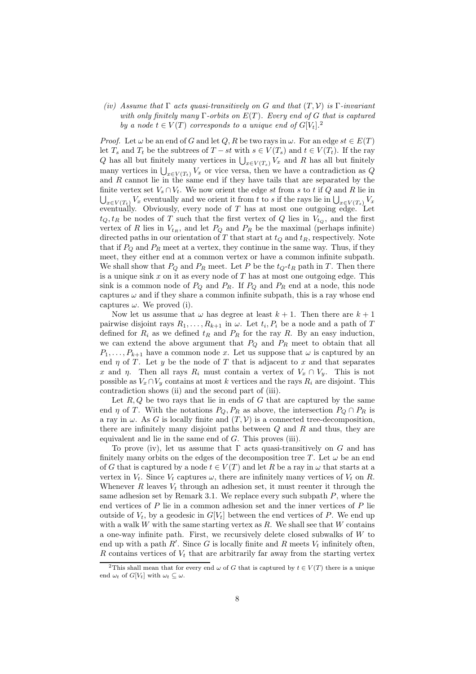## (iv) Assume that  $\Gamma$  acts quasi-transitively on G and that  $(T, V)$  is  $\Gamma$ -invariant with only finitely many  $\Gamma$ -orbits on  $E(T)$ . Every end of G that is captured by a node  $t \in V(T)$  corresponds to a unique end of  $G[V_t]$ .

*Proof.* Let  $\omega$  be an end of G and let Q, R be two rays in  $\omega$ . For an edge  $st \in E(T)$ let  $T_s$  and  $T_t$  be the subtrees of  $T - st$  with  $s \in V(T_s)$  and  $t \in V(T_t)$ . If the ray Q has all but finitely many vertices in  $\bigcup_{x \in V(T_s)} V_x$  and R has all but finitely many vertices in  $\bigcup_{x \in V(T_t)} V_x$  or vice versa, then we have a contradiction as Q and  $R$  cannot lie in the same end if they have tails that are separated by the finite vertex set  $V_s \cap V_t$ . We now orient the edge st from s to t if Q and R lie in  $\bigcup_{x\in V(T_t)} V_x$  eventually and we orient it from t to s if the rays lie in  $\bigcup_{x\in V(T_s)} V_x$ eventually. Obviously, every node of  $T$  has at most one outgoing edge. Let  $t_Q, t_R$  be nodes of T such that the first vertex of Q lies in  $V_{t_Q}$ , and the first vertex of R lies in  $V_{t_R}$ , and let  $P_Q$  and  $P_R$  be the maximal (perhaps infinite) directed paths in our orientation of T that start at  $t_Q$  and  $t_R$ , respectively. Note that if  $P_Q$  and  $P_R$  meet at a vertex, they continue in the same way. Thus, if they meet, they either end at a common vertex or have a common infinite subpath. We shall show that  $P_Q$  and  $P_R$  meet. Let P be the  $t_Q$ - $t_R$  path in T. Then there is a unique sink  $x$  on it as every node of  $T$  has at most one outgoing edge. This sink is a common node of  $P_Q$  and  $P_R$ . If  $P_Q$  and  $P_R$  end at a node, this node captures  $\omega$  and if they share a common infinite subpath, this is a ray whose end captures  $\omega$ . We proved (i).

Now let us assume that  $\omega$  has degree at least  $k + 1$ . Then there are  $k + 1$ pairwise disjoint rays  $R_1, \ldots, R_{k+1}$  in  $\omega$ . Let  $t_i, P_i$  be a node and a path of T defined for  $R_i$  as we defined  $t_R$  and  $P_R$  for the ray R. By an easy induction, we can extend the above argument that  $P_Q$  and  $P_R$  meet to obtain that all  $P_1, \ldots, P_{k+1}$  have a common node x. Let us suppose that  $\omega$  is captured by an end  $\eta$  of T. Let y be the node of T that is adjacent to x and that separates x and  $\eta$ . Then all rays  $R_i$  must contain a vertex of  $V_x \cap V_y$ . This is not possible as  $V_x \cap V_y$  contains at most k vertices and the rays  $R_i$  are disjoint. This contradiction shows (ii) and the second part of (iii).

Let  $R, Q$  be two rays that lie in ends of  $G$  that are captured by the same end  $\eta$  of T. With the notations  $P_Q, P_R$  as above, the intersection  $P_Q \cap P_R$  is a ray in  $\omega$ . As G is locally finite and  $(T, V)$  is a connected tree-decomposition, there are infinitely many disjoint paths between  $O$  and  $R$  and thus, they are equivalent and lie in the same end of  $G$ . This proves (iii).

To prove (iv), let us assume that  $\Gamma$  acts quasi-transitively on G and has finitely many orbits on the edges of the decomposition tree T. Let  $\omega$  be an end of G that is captured by a node  $t \in V(T)$  and let R be a ray in  $\omega$  that starts at a vertex in  $V_t$ . Since  $V_t$  captures  $\omega$ , there are infinitely many vertices of  $V_t$  on R. Whenever R leaves  $V_t$  through an adhesion set, it must reenter it through the same adhesion set by Remark 3.1. We replace every such subpath  $P$ , where the end vertices of P lie in a common adhesion set and the inner vertices of P lie outside of  $V_t$ , by a geodesic in  $G[V_t]$  between the end vertices of P. We end up with a walk  $W$  with the same starting vertex as  $R$ . We shall see that  $W$  contains a one-way infinite path. First, we recursively delete closed subwalks of W to end up with a path  $R'$ . Since G is locally finite and R meets  $V_t$  infinitely often, R contains vertices of  $V_t$  that are arbitrarily far away from the starting vertex

<sup>&</sup>lt;sup>2</sup>This shall mean that for every end  $\omega$  of G that is captured by  $t \in V(T)$  there is a unique end  $\omega_t$  of  $G[V_t]$  with  $\omega_t \subset \omega$ .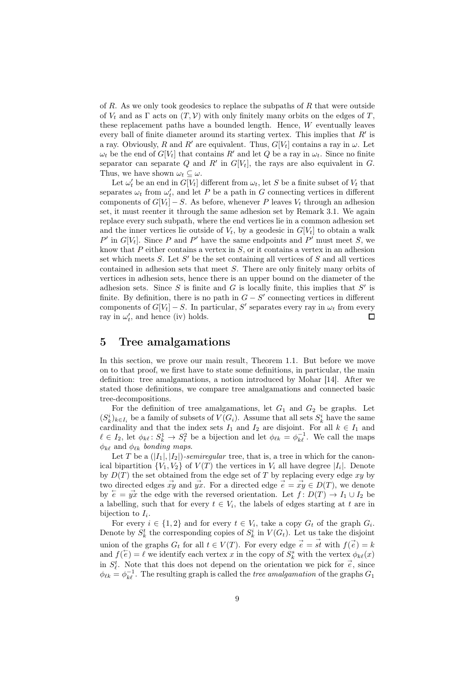of R. As we only took geodesics to replace the subpaths of R that were outside of  $V_t$  and as  $\Gamma$  acts on  $(T, V)$  with only finitely many orbits on the edges of T, these replacement paths have a bounded length. Hence, W eventually leaves every ball of finite diameter around its starting vertex. This implies that  $R'$  is a ray. Obviously, R and R' are equivalent. Thus,  $G[V_t]$  contains a ray in  $\omega$ . Let  $\omega_t$  be the end of  $G[V_t]$  that contains  $R'$  and let  $Q$  be a ray in  $\omega_t$ . Since no finite separator can separate Q and R' in  $G[V_t]$ , the rays are also equivalent in G. Thus, we have shown  $\omega_t \subseteq \omega$ .

Let  $\omega'_t$  be an end in  $G[V_t]$  different from  $\omega_t$ , let S be a finite subset of  $V_t$  that separates  $\omega_t$  from  $\omega'_t$ , and let P be a path in G connecting vertices in different components of  $G[V_t] - S$ . As before, whenever P leaves  $V_t$  through an adhesion set, it must reenter it through the same adhesion set by Remark 3.1. We again replace every such subpath, where the end vertices lie in a common adhesion set and the inner vertices lie outside of  $V_t$ , by a geodesic in  $G[V_t]$  to obtain a walk P' in  $G[V_t]$ . Since P and P' have the same endpoints and P' must meet S, we know that  $P$  either contains a vertex in  $S$ , or it contains a vertex in an adhesion set which meets  $S$ . Let  $S'$  be the set containing all vertices of  $S$  and all vertices contained in adhesion sets that meet S. There are only finitely many orbits of vertices in adhesion sets, hence there is an upper bound on the diameter of the adhesion sets. Since  $S$  is finite and  $G$  is locally finite, this implies that  $S'$  is finite. By definition, there is no path in  $G - S'$  connecting vertices in different components of  $G[V_t] - S$ . In particular, S' separates every ray in  $\omega_t$  from every ray in  $\omega'_t$ , and hence (iv) holds. П

# 5 Tree amalgamations

In this section, we prove our main result, Theorem 1.1. But before we move on to that proof, we first have to state some definitions, in particular, the main definition: tree amalgamations, a notion introduced by Mohar [14]. After we stated those definitions, we compare tree amalgamations and connected basic tree-decompositions.

For the definition of tree amalgamations, let  $G_1$  and  $G_2$  be graphs. Let  $(S_k^i)_{k \in I_i}$  be a family of subsets of  $V(G_i)$ . Assume that all sets  $S_k^i$  have the same cardinality and that the index sets  $I_1$  and  $I_2$  are disjoint. For all  $k \in I_1$  and  $\ell \in I_2$ , let  $\phi_{k\ell} : S_k^1 \to S_{\ell}^2$  be a bijection and let  $\phi_{\ell k} = \phi_{k\ell}^{-1}$ . We call the maps  $\phi_{k\ell}$  and  $\phi_{\ell k}$  bonding maps.

Let T be a  $(|I_1|, |I_2|)$ -semiregular tree, that is, a tree in which for the canonical bipartition  $\{V_1, V_2\}$  of  $V(T)$  the vertices in  $V_i$  all have degree  $|I_i|$ . Denote by  $D(T)$  the set obtained from the edge set of T by replacing every edge xy by two directed edges  $\vec{xy}$  and  $\vec{yx}$ . For a directed edge  $\vec{e} = \vec{xy} \in D(T)$ , we denote by  $\overleftarrow{e} = y\overrightarrow{x}$  the edge with the reversed orientation. Let  $f: D(T) \to I_1 \cup I_2$  be a labelling, such that for every  $t \in V_i$ , the labels of edges starting at t are in bijection to  $I_i$ .

For every  $i \in \{1,2\}$  and for every  $t \in V_i$ , take a copy  $G_t$  of the graph  $G_i$ . Denote by  $S_k^t$  the corresponding copies of  $S_k^i$  in  $V(G_t)$ . Let us take the disjoint union of the graphs  $G_t$  for all  $t \in V(T)$ . For every edge  $\vec{e} = \vec{st}$  with  $f(\vec{e}) = k$ and  $f(\overleftarrow{e}) = \ell$  we identify each vertex x in the copy of  $S_k^s$  with the vertex  $\phi_{k\ell}(x)$ in  $S_{\ell}^{t}$ . Note that this does not depend on the orientation we pick for  $\vec{e}$ , since  $\phi_{\ell k} = \phi_{k\ell}^{-1}$ . The resulting graph is called the *tree amalgamation* of the graphs  $G_1$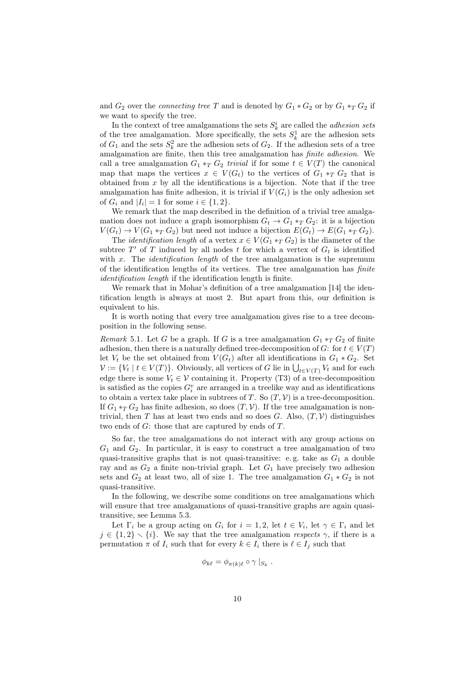and  $G_2$  over the *connecting tree* T and is denoted by  $G_1 * G_2$  or by  $G_1 *_{T} G_2$  if we want to specify the tree.

In the context of tree amalgamations the sets  $S_k^i$  are called the *adhesion sets* of the tree amalgamation. More specifically, the sets  $S_k^1$  are the adhesion sets of  $G_1$  and the sets  $S_k^2$  are the adhesion sets of  $G_2$ . If the adhesion sets of a tree amalgamation are finite, then this tree amalgamation has finite adhesion. We call a tree amalgamation  $G_1 *_{T} G_2$  trivial if for some  $t \in V(T)$  the canonical map that maps the vertices  $x \in V(G_t)$  to the vertices of  $G_1 *_{T} G_2$  that is obtained from  $x$  by all the identifications is a bijection. Note that if the tree amalgamation has finite adhesion, it is trivial if  $V(G_i)$  is the only adhesion set of  $G_i$  and  $|I_i| = 1$  for some  $i \in \{1, 2\}.$ 

We remark that the map described in the definition of a trivial tree amalgamation does not induce a graph isomorphism  $G_t \to G_1 *_{T} G_2$ : it is a bijection  $V(G_t) \to V(G_1 *_{T} G_2)$  but need not induce a bijection  $E(G_t) \to E(G_1 *_{T} G_2)$ .

The *identification length* of a vertex  $x \in V(G_1 *_{T} G_2)$  is the diameter of the subtree  $T'$  of  $T$  induced by all nodes  $t$  for which a vertex of  $G_t$  is identified with  $x$ . The *identification length* of the tree amalgamation is the supremum of the identification lengths of its vertices. The tree amalgamation has finite identification length if the identification length is finite.

We remark that in Mohar's definition of a tree amalgamation [14] the identification length is always at most 2. But apart from this, our definition is equivalent to his.

It is worth noting that every tree amalgamation gives rise to a tree decomposition in the following sense.

Remark 5.1. Let G be a graph. If G is a tree amalgamation  $G_1 *_{T} G_2$  of finite adhesion, then there is a naturally defined tree-decomposition of G: for  $t \in V(T)$ let  $V_t$  be the set obtained from  $V(G_t)$  after all identifications in  $G_1 * G_2$ . Set  $\mathcal{V} := \{V_t \mid t \in V(T)\}\$ . Obviously, all vertices of G lie in  $\bigcup_{t \in V(T)} V_t$  and for each edge there is some  $V_t \in \mathcal{V}$  containing it. Property (T3) of a tree-decomposition is satisfied as the copies  $G_i^v$  are arranged in a treelike way and as identifications to obtain a vertex take place in subtrees of T. So  $(T, V)$  is a tree-decomposition. If  $G_1 *_{T} G_2$  has finite adhesion, so does  $(T, V)$ . If the tree amalgamation is nontrivial, then  $T$  has at least two ends and so does  $G$ . Also,  $(T, V)$  distinguishes two ends of  $G$ : those that are captured by ends of  $T$ .

So far, the tree amalgamations do not interact with any group actions on  $G_1$  and  $G_2$ . In particular, it is easy to construct a tree amalgamation of two quasi-transitive graphs that is not quasi-transitive: e.g. take as  $G_1$  a double ray and as  $G_2$  a finite non-trivial graph. Let  $G_1$  have precisely two adhesion sets and  $G_2$  at least two, all of size 1. The tree amalgamation  $G_1 * G_2$  is not quasi-transitive.

In the following, we describe some conditions on tree amalgamations which will ensure that tree amalgamations of quasi-transitive graphs are again quasitransitive, see Lemma 5.3.

Let  $\Gamma_i$  be a group acting on  $G_i$  for  $i = 1, 2$ , let  $t \in V_i$ , let  $\gamma \in \Gamma_i$  and let  $j \in \{1,2\} \setminus \{i\}.$  We say that the tree amalgamation respects  $\gamma$ , if there is a permutation  $\pi$  of  $I_i$  such that for every  $k \in I_i$  there is  $\ell \in I_j$  such that

$$
\phi_{k\ell} = \phi_{\pi(k)\ell} \circ \gamma \mid_{S_k}.
$$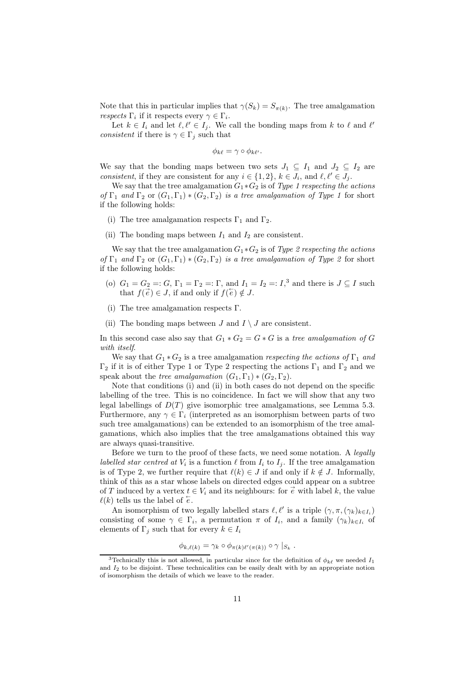Note that this in particular implies that  $\gamma(S_k) = S_{\pi(k)}$ . The tree amalgamation *respects*  $\Gamma_i$  if it respects every  $\gamma \in \Gamma_i$ .

Let  $k \in I_i$  and let  $\ell, \ell' \in I_j$ . We call the bonding maps from k to  $\ell$  and  $\ell'$ consistent if there is  $\gamma \in \Gamma_i$  such that

$$
\phi_{k\ell} = \gamma \circ \phi_{k\ell'}.
$$

We say that the bonding maps between two sets  $J_1 \subseteq I_1$  and  $J_2 \subseteq I_2$  are consistent, if they are consistent for any  $i \in \{1,2\}$ ,  $k \in J_i$ , and  $\ell, \ell' \in J_j$ .

We say that the tree amalgamation  $G_1 * G_2$  is of Type 1 respecting the actions of  $\Gamma_1$  and  $\Gamma_2$  or  $(G_1,\Gamma_1) * (G_2,\Gamma_2)$  is a tree amalgamation of Type 1 for short if the following holds:

- (i) The tree amalgamation respects  $\Gamma_1$  and  $\Gamma_2$ .
- (ii) The bonding maps between  $I_1$  and  $I_2$  are consistent.

We say that the tree amalgamation  $G_1 * G_2$  is of Type 2 respecting the actions of  $\Gamma_1$  and  $\Gamma_2$  or  $(G_1, \Gamma_1) * (G_2, \Gamma_2)$  is a tree amalgamation of Type 2 for short if the following holds:

- (o)  $G_1 = G_2 =: G, \Gamma_1 = \Gamma_2 =: \Gamma$ , and  $I_1 = I_2 =: I, \text{ and } I_3 =: J \subseteq I$  such that  $f(\overline{\vec{e}}) \in J$ , if and only if  $f(\overline{\vec{e}}) \notin J$ .
- (i) The tree amalgamation respects Γ.
- (ii) The bonding maps between J and  $I \setminus J$  are consistent.

In this second case also say that  $G_1 * G_2 = G * G$  is a tree amalgamation of G with itself.

We say that  $G_1 * G_2$  is a tree amalgamation respecting the actions of  $\Gamma_1$  and Γ<sub>2</sub> if it is of either Type 1 or Type 2 respecting the actions  $Γ_1$  and  $Γ_2$  and we speak about the *tree amalgamation*  $(G_1, \Gamma_1) * (G_2, \Gamma_2)$ .

Note that conditions (i) and (ii) in both cases do not depend on the specific labelling of the tree. This is no coincidence. In fact we will show that any two legal labellings of  $D(T)$  give isomorphic tree amalgamations, see Lemma 5.3. Furthermore, any  $\gamma \in \Gamma_i$  (interpreted as an isomorphism between parts of two such tree amalgamations) can be extended to an isomorphism of the tree amalgamations, which also implies that the tree amalgamations obtained this way are always quasi-transitive.

Before we turn to the proof of these facts, we need some notation. A legally labelled star centred at  $V_i$  is a function  $\ell$  from  $I_i$  to  $I_j$ . If the tree amalgamation is of Type 2, we further require that  $\ell(k) \in J$  if and only if  $k \notin J$ . Informally, think of this as a star whose labels on directed edges could appear on a subtree of T induced by a vertex  $t \in V_i$  and its neighbours: for  $\vec{e}$  with label k, the value  $\ell(k)$  tells us the label of  $\overleftarrow{e}$ .

An isomorphism of two legally labelled stars  $\ell, \ell'$  is a triple  $(\gamma, \pi, (\gamma_k)_{k \in I_i})$ consisting of some  $\gamma \in \Gamma_i$ , a permutation  $\pi$  of  $I_i$ , and a family  $(\gamma_k)_{k \in I_i}$  of elements of  $\Gamma_i$  such that for every  $k \in I_i$ 

$$
\phi_{k,\ell(k)} = \gamma_k \circ \phi_{\pi(k)\ell'(\pi(k))} \circ \gamma |_{S_k}.
$$

<sup>&</sup>lt;sup>3</sup>Technically this is not allowed, in particular since for the definition of  $\phi_{k\ell}$  we needed  $I_1$ and  $I_2$  to be disjoint. These technicalities can be easily dealt with by an appropriate notion of isomorphism the details of which we leave to the reader.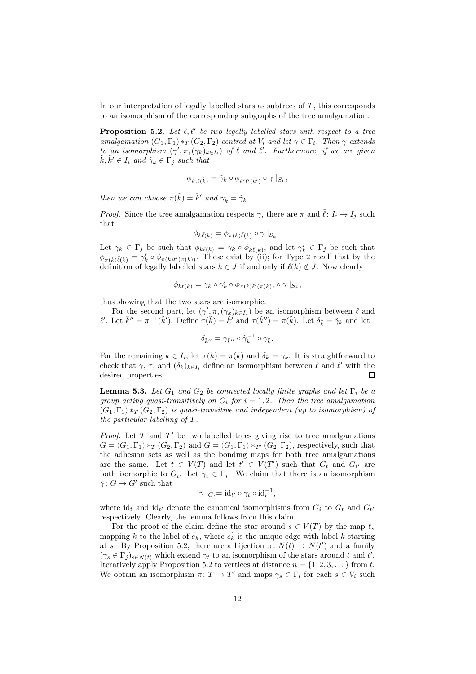In our interpretation of legally labelled stars as subtrees of  $T$ , this corresponds to an isomorphism of the corresponding subgraphs of the tree amalgamation.

**Proposition 5.2.** Let  $\ell, \ell'$  be two legally labelled stars with respect to a tree amalgamation  $(G_1, \Gamma_1) *_{T} (G_2, \Gamma_2)$  centred at  $V_i$  and let  $\gamma \in \Gamma_i$ . Then  $\gamma$  extends to an isomorphism  $(\gamma', \pi, (\gamma_k)_{k \in I_i})$  of  $\ell$  and  $\ell'$ . Furthermore, if we are given  $\tilde{k}, \tilde{k}' \in I_i$  and  $\tilde{\gamma}_k \in \Gamma_j$  such that

$$
\phi_{\tilde{k},\ell(\tilde{k})} = \tilde{\gamma}_k \circ \phi_{\tilde{k}'\ell'(\tilde{k}')} \circ \gamma \mid_{S_k},
$$

then we can choose  $\pi(\tilde{k}) = \tilde{k}'$  and  $\gamma_{\tilde{k}} = \tilde{\gamma}_k$ .

*Proof.* Since the tree amalgamation respects  $\gamma$ , there are  $\pi$  and  $\bar{\ell}: I_i \to I_j$  such that

$$
\phi_{k\bar{\ell}(k)} = \phi_{\pi(k)\bar{\ell}(k)} \circ \gamma \mid_{S_k} .
$$

Let  $\gamma_k \in \Gamma_j$  be such that  $\phi_{k\ell(k)} = \gamma_k \circ \phi_{k\bar{\ell}(k)}$ , and let  $\gamma'_k \in \Gamma_j$  be such that  $\phi_{\pi(k)\bar{\ell}(k)} = \gamma'_k \circ \phi_{\pi(k)\ell'(\pi(k))}$ . These exist by (ii); for Type 2 recall that by the definition of legally labelled stars  $k \in J$  if and only if  $\ell(k) \notin J$ . Now clearly

$$
\phi_{k\ell(k)} = \gamma_k \circ \gamma'_k \circ \phi_{\pi(k)\ell'(\pi(k))} \circ \gamma |_{S_k},
$$

thus showing that the two stars are isomorphic.

For the second part, let  $(\gamma', \pi, (\gamma_k)_{k \in I_i})$  be an isomorphism between  $\ell$  and  $\ell'$ . Let  $\tilde{k}'' = \pi^{-1}(\tilde{k}')$ . Define  $\tau(\tilde{k}) = \tilde{k}'$  and  $\tau(\tilde{k}'') = \pi(\tilde{k})$ . Let  $\delta_{\tilde{k}} = \tilde{\gamma}_k$  and let

$$
\delta_{\tilde{k}^{\prime\prime}}=\gamma_{\tilde{k}^{\prime\prime}}\circ\tilde{\gamma}_k^{-1}\circ\gamma_{\tilde{k}}.
$$

For the remaining  $k \in I_i$ , let  $\tau(k) = \pi(k)$  and  $\delta_k = \gamma_k$ . It is straightforward to check that  $\gamma$ ,  $\tau$ , and  $(\delta_k)_{k \in I_i}$  define an isomorphism between  $\ell$  and  $\ell'$  with the desired properties.  $\Box$ 

**Lemma 5.3.** Let  $G_1$  and  $G_2$  be connected locally finite graphs and let  $\Gamma_i$  be a group acting quasi-transitively on  $G_i$  for  $i = 1, 2$ . Then the tree amalgamation  $(G_1, \Gamma_1) *_{T} (G_2, \Gamma_2)$  is quasi-transitive and independent (up to isomorphism) of the particular labelling of  $T$ .

*Proof.* Let  $T$  and  $T'$  be two labelled trees giving rise to tree amalgamations  $G = (G_1, \Gamma_1) *_{T} (G_2, \Gamma_2)$  and  $G = (G_1, \Gamma_1) *_{T'} (G_2, \Gamma_2)$ , respectively, such that the adhesion sets as well as the bonding maps for both tree amalgamations are the same. Let  $t \in V(T)$  and let  $t' \in V(T')$  such that  $G_t$  and  $G_{t'}$  are both isomorphic to  $G_i$ . Let  $\gamma_t \in \Gamma_i$ . We claim that there is an isomorphism  $\bar{\gamma}: G \to G'$  such that

$$
\bar{\gamma} \mid_{G_t} = \mathrm{id}_{t'} \circ \gamma_t \circ \mathrm{id}_t^{-1},
$$

where  $id_t$  and  $id_{t'}$  denote the canonical isomorphisms from  $G_i$  to  $G_t$  and  $G_{t'}$ respectively. Clearly, the lemma follows from this claim.

For the proof of the claim define the star around  $s \in V(T)$  by the map  $\ell_s$ mapping k to the label of  $\vec{e_k}$ , where  $\vec{e_k}$  is the unique edge with label k starting at s. By Proposition 5.2, there are a bijection  $\pi: N(t) \to N(t')$  and a family  $(\gamma_s \in \Gamma_j)_{s \in N(t)}$  which extend  $\gamma_t$  to an isomorphism of the stars around t and t'. Iteratively apply Proposition 5.2 to vertices at distance  $n = \{1, 2, 3, \dots\}$  from t. We obtain an isomorphism  $\pi: T \to T'$  and maps  $\gamma_s \in \Gamma_i$  for each  $s \in V_i$  such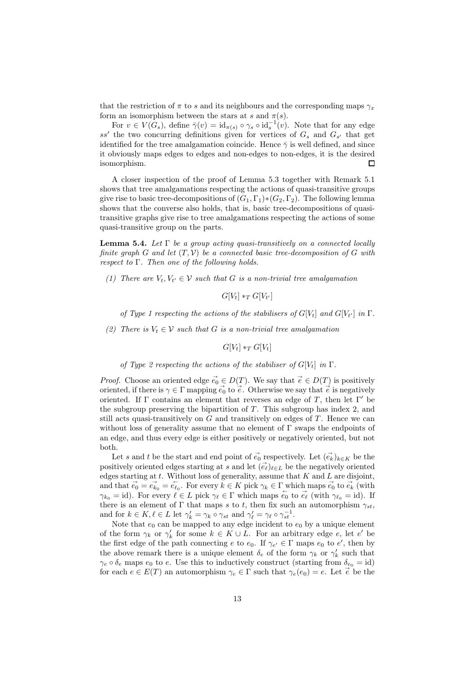that the restriction of  $\pi$  to s and its neighbours and the corresponding maps  $\gamma_x$ form an isomorphism between the stars at s and  $\pi(s)$ .

For  $v \in V(G_s)$ , define  $\overline{\gamma}(v) = \mathrm{id}_{\pi(s)} \circ \gamma_s \circ \mathrm{id}_s^{-1}(v)$ . Note that for any edge ss' the two concurring definitions given for vertices of  $G_s$  and  $G_{s'}$  that get identified for the tree amalgamation coincide. Hence  $\bar{\gamma}$  is well defined, and since it obviously maps edges to edges and non-edges to non-edges, it is the desired isomorphism.  $\Box$ 

A closer inspection of the proof of Lemma 5.3 together with Remark 5.1 shows that tree amalgamations respecting the actions of quasi-transitive groups give rise to basic tree-decompositions of  $(G_1, \Gamma_1) * (G_2, \Gamma_2)$ . The following lemma shows that the converse also holds, that is, basic tree-decompositions of quasitransitive graphs give rise to tree amalgamations respecting the actions of some quasi-transitive group on the parts.

**Lemma 5.4.** Let  $\Gamma$  be a group acting quasi-transitively on a connected locally finite graph G and let  $(T, V)$  be a connected basic tree-decomposition of G with respect to Γ. Then one of the following holds.

(1) There are  $V_t, V_{t'} \in \mathcal{V}$  such that G is a non-trivial tree amalgamation

 $G[V_t]*_T G[V_{t'}]$ 

of Type 1 respecting the actions of the stabilisers of  $G[V_t]$  and  $G[V_{t'}]$  in  $\Gamma$ .

(2) There is  $V_t \in V$  such that G is a non-trivial tree amalgamation

 $G[V_t] *_{T} G[V_t]$ 

of Type 2 respecting the actions of the stabiliser of  $G[V_t]$  in  $\Gamma$ .

*Proof.* Choose an oriented edge  $\vec{e}_0 \in D(T)$ . We say that  $\vec{e} \in D(T)$  is positively oriented, if there is  $\gamma \in \Gamma$  mapping  $\vec{e_0}$  to  $\vec{e}$ . Otherwise we say that  $\vec{e}$  is negatively oriented. If  $\Gamma$  contains an element that reverses an edge of T, then let  $\Gamma'$  be the subgroup preserving the bipartition of  $T$ . This subgroup has index 2, and still acts quasi-transitively on  $G$  and transitively on edges of  $T$ . Hence we can without loss of generality assume that no element of Γ swaps the endpoints of an edge, and thus every edge is either positively or negatively oriented, but not both.

Let s and t be the start and end point of  $\vec{e_0}$  respectively. Let  $(\vec{e_k})_{k \in K}$  be the positively oriented edges starting at s and let  $(e_{\ell})_{\ell \in L}$  be the negatively oriented edges starting at  $t$ . Without loss of generality, assume that  $K$  and  $L$  are disjoint, and that  $\vec{e_0} = \vec{e_{k_0}} = \vec{e_{\ell_0}}$ . For every  $\vec{k} \in K$  pick  $\gamma_k \in \Gamma$  which maps  $\vec{e_0}$  to  $\vec{e_k}$  (with  $\gamma_{k_0} = id$ ). For every  $\ell \in L$  pick  $\gamma_{\ell} \in \Gamma$  which maps  $\epsilon_0$  to  $\vec{e}_{\ell}$  (with  $\gamma_{\ell_0} = id$ ). If there is an element of  $\Gamma$  that maps s to t, then fix such an automorphism  $\gamma_{st}$ , and for  $k \in K, \ell \in L$  let  $\gamma'_k = \gamma_k \circ \gamma_{st}$  and  $\gamma'_\ell = \gamma_\ell \circ \gamma_{st}^{-1}$ .

Note that  $e_0$  can be mapped to any edge incident to  $e_0$  by a unique element of the form  $\gamma_k$  or  $\gamma'_k$  for some  $k \in K \cup L$ . For an arbitrary edge e, let e' be the first edge of the path connecting  $e$  to  $e_0$ . If  $\gamma_{e'} \in \Gamma$  maps  $e_0$  to  $e'$ , then by the above remark there is a unique element  $\delta_e$  of the form  $\gamma_k$  or  $\gamma'_k$  such that  $\gamma_e \circ \delta_e$  maps  $e_0$  to e. Use this to inductively construct (starting from  $\delta_{e_0} = id$ ) for each  $e \in E(T)$  an automorphism  $\gamma_e \in \Gamma$  such that  $\gamma_e(e_0) = e$ . Let  $\overline{e}^0$  be the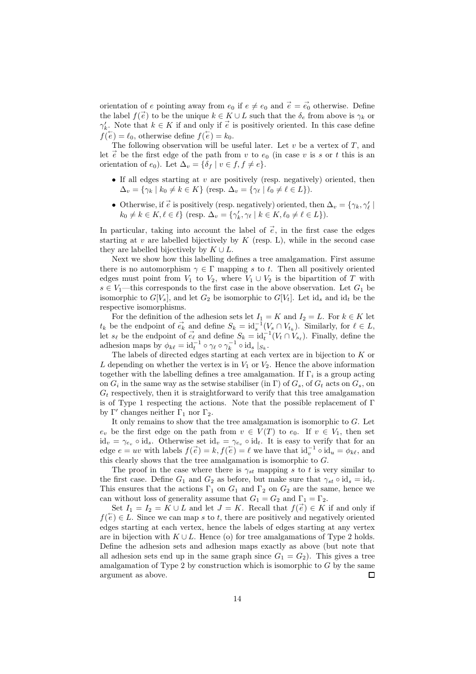orientation of e pointing away from  $e_0$  if  $e \neq e_0$  and  $\vec{e} = \vec{e_0}$  otherwise. Define the label  $f(\vec{e})$  to be the unique  $k \in K \cup L$  such that the  $\delta_e$  from above is  $\gamma_k$  or  $\gamma'_k$ . Note that  $k \in K$  if and only if  $\vec{e}$  is positively oriented. In this case define  $f(\vec{e}) = \ell_0$ , otherwise define  $f(\vec{e}) = k_0$ .

The following observation will be useful later. Let  $v$  be a vertex of  $T$ , and let  $\vec{e}$  be the first edge of the path from v to  $e_0$  (in case v is s or t this is an orientation of  $e_0$ ). Let  $\Delta_v = \{\delta_f \mid v \in f, f \neq e\}.$ 

- If all edges starting at  $v$  are positively (resp. negatively) oriented, then  $\Delta_v = \{ \gamma_k \mid k_0 \neq k \in K \}$  (resp.  $\Delta_v = \{ \gamma_\ell \mid \ell_0 \neq \ell \in L \}$ ).
- Otherwise, if  $\vec{e}$  is positively (resp. negatively) oriented, then  $\Delta_v = \{\gamma_k, \gamma'_\ell \mid$  $k_0 \neq k \in K, \ell \in \ell$  {resp.  $\Delta_v = \{ \gamma'_k, \gamma_\ell \mid k \in K, \ell_0 \neq \ell \in L \}$  ).

In particular, taking into account the label of  $\vec{e}$ , in the first case the edges starting at v are labelled bijectively by  $K$  (resp. L), while in the second case they are labelled bijectively by  $K \cup L$ .

Next we show how this labelling defines a tree amalgamation. First assume there is no automorphism  $\gamma \in \Gamma$  mapping s to t. Then all positively oriented edges must point from  $V_1$  to  $V_2$ , where  $V_1 \cup V_2$  is the bipartition of T with  $s \in V_1$ —this corresponds to the first case in the above observation. Let  $G_1$  be isomorphic to  $G[V_s]$ , and let  $G_2$  be isomorphic to  $G[V_t]$ . Let id<sub>s</sub> and id<sub>t</sub> be the respective isomorphisms.

For the definition of the adhesion sets let  $I_1 = K$  and  $I_2 = L$ . For  $k \in K$  let  $t_k$  be the endpoint of  $\vec{e_k}$  and define  $S_k = \mathrm{id}_s^{-1}(V_s \cap V_{t_k})$ . Similarly, for  $\ell \in L$ , let  $s_{\ell}$  be the endpoint of  $\vec{e}_{\ell}$  and define  $S_k = \mathrm{id}_{t}^{-1}(V_t \cap V_{s_{\ell}})$ . Finally, define the adhesion maps by  $\phi_{k\ell} = id_t^{-1} \circ \gamma_{\ell} \circ \gamma_k^{-1} \circ id_s |_{S_k}$ .

The labels of directed edges starting at each vertex are in bijection to K or L depending on whether the vertex is in  $V_1$  or  $V_2$ . Hence the above information together with the labelling defines a tree amalgamation. If  $\Gamma_i$  is a group acting on  $G_i$  in the same way as the setwise stabiliser (in  $\Gamma$ ) of  $G_s$ , of  $G_t$  acts on  $G_s$ , on  $G_t$  respectively, then it is straightforward to verify that this tree amalgamation is of Type 1 respecting the actions. Note that the possible replacement of Γ by  $\Gamma'$  changes neither  $\Gamma_1$  nor  $\Gamma_2$ .

It only remains to show that the tree amalgamation is isomorphic to  $G$ . Let  $e_v$  be the first edge on the path from  $v \in V(T)$  to  $e_0$ . If  $v \in V_1$ , then set  $id_v = \gamma_{e_v} \circ id_s$ . Otherwise set  $id_v = \gamma_{e_v} \circ id_t$ . It is easy to verify that for an edge  $e = uv$  with labels  $f(\vec{e}) = k$ ,  $f(\vec{e}) = \ell$  we have that  $\mathrm{id}_v^{-1} \circ \mathrm{id}_u = \phi_{k\ell}$ , and this clearly shows that the tree amalgamation is isomorphic to G.

The proof in the case where there is  $\gamma_{st}$  mapping s to t is very similar to the first case. Define  $G_1$  and  $G_2$  as before, but make sure that  $\gamma_{st} \circ id_s = id_t$ . This ensures that the actions  $\Gamma_1$  on  $G_1$  and  $\Gamma_2$  on  $G_2$  are the same, hence we can without loss of generality assume that  $G_1 = G_2$  and  $\Gamma_1 = \Gamma_2$ .

Set  $I_1 = I_2 = K \cup L$  and let  $J = K$ . Recall that  $f(\vec{e}) \in K$  if and only if  $f(\tilde{e}) \in L$ . Since we can map s to t, there are positively and negatively oriented edges starting at each vertex, hence the labels of edges starting at any vertex are in bijection with  $K \cup L$ . Hence (o) for tree amalgamations of Type 2 holds. Define the adhesion sets and adhesion maps exactly as above (but note that all adhesion sets end up in the same graph since  $G_1 = G_2$ ). This gives a tree amalgamation of Type 2 by construction which is isomorphic to  $G$  by the same argument as above.  $\Box$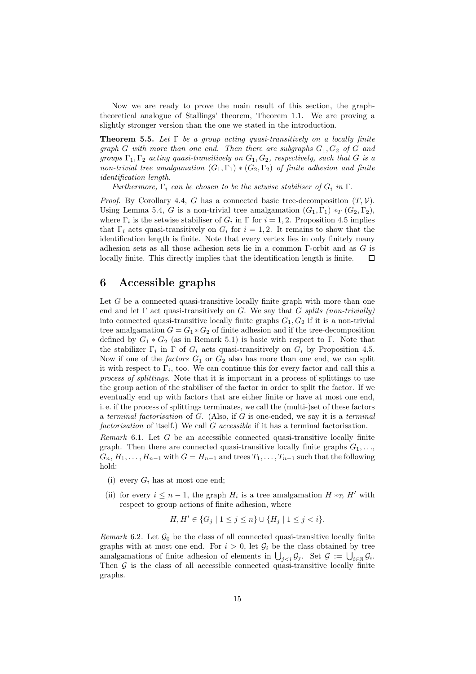Now we are ready to prove the main result of this section, the graphtheoretical analogue of Stallings' theorem, Theorem 1.1. We are proving a slightly stronger version than the one we stated in the introduction.

**Theorem 5.5.** Let  $\Gamma$  be a group acting quasi-transitively on a locally finite graph G with more than one end. Then there are subgraphs  $G_1, G_2$  of G and groups  $\Gamma_1, \Gamma_2$  acting quasi-transitively on  $G_1, G_2$ , respectively, such that G is a non-trivial tree amalgamation  $(G_1, \Gamma_1) * (G_2, \Gamma_2)$  of finite adhesion and finite identification length.

Furthermore,  $\Gamma_i$  can be chosen to be the setwise stabiliser of  $G_i$  in  $\Gamma$ .

*Proof.* By Corollary 4.4, G has a connected basic tree-decomposition  $(T, V)$ . Using Lemma 5.4, G is a non-trivial tree amalgamation  $(G_1, \Gamma_1) *_{T} (G_2, \Gamma_2)$ , where  $\Gamma_i$  is the setwise stabiliser of  $G_i$  in  $\Gamma$  for  $i = 1, 2$ . Proposition 4.5 implies that  $\Gamma_i$  acts quasi-transitively on  $G_i$  for  $i = 1, 2$ . It remains to show that the identification length is finite. Note that every vertex lies in only finitely many adhesion sets as all those adhesion sets lie in a common Γ-orbit and as G is locally finite. This directly implies that the identification length is finite.  $\Box$ 

## 6 Accessible graphs

Let  $G$  be a connected quasi-transitive locally finite graph with more than one end and let  $\Gamma$  act quasi-transitively on G. We say that G splits (non-trivially) into connected quasi-transitive locally finite graphs  $G_1, G_2$  if it is a non-trivial tree amalgamation  $G = G_1 * G_2$  of finite adhesion and if the tree-decomposition defined by  $G_1 * G_2$  (as in Remark 5.1) is basic with respect to Γ. Note that the stabilizer  $\Gamma_i$  in  $\Gamma$  of  $G_i$  acts quasi-transitively on  $G_i$  by Proposition 4.5. Now if one of the *factors*  $G_1$  or  $G_2$  also has more than one end, we can split it with respect to  $\Gamma_i$ , too. We can continue this for every factor and call this a process of splittings. Note that it is important in a process of splittings to use the group action of the stabiliser of the factor in order to split the factor. If we eventually end up with factors that are either finite or have at most one end, i. e. if the process of splittings terminates, we call the (multi-)set of these factors a terminal factorisation of  $G$ . (Also, if  $G$  is one-ended, we say it is a terminal factorisation of itself.) We call G accessible if it has a terminal factorisation.

Remark 6.1. Let  $G$  be an accessible connected quasi-transitive locally finite graph. Then there are connected quasi-transitive locally finite graphs  $G_1, \ldots$ ,  $G_n, H_1, \ldots, H_{n-1}$  with  $G = H_{n-1}$  and trees  $T_1, \ldots, T_{n-1}$  such that the following hold:

- (i) every  $G_i$  has at most one end;
- (ii) for every  $i \leq n-1$ , the graph  $H_i$  is a tree amalgamation  $H *_{T_i} H'$  with respect to group actions of finite adhesion, where

$$
H, H' \in \{G_j \mid 1 \le j \le n\} \cup \{H_j \mid 1 \le j < i\}.
$$

Remark 6.2. Let  $\mathcal{G}_0$  be the class of all connected quasi-transitive locally finite graphs with at most one end. For  $i > 0$ , let  $\mathcal{G}_i$  be the class obtained by tree amalgamations of finite adhesion of elements in  $\bigcup_{j. Set  $\mathcal{G} := \bigcup_{i\in\mathbb{N}}\mathcal{G}_i$ .$ Then  $G$  is the class of all accessible connected quasi-transitive locally finite graphs.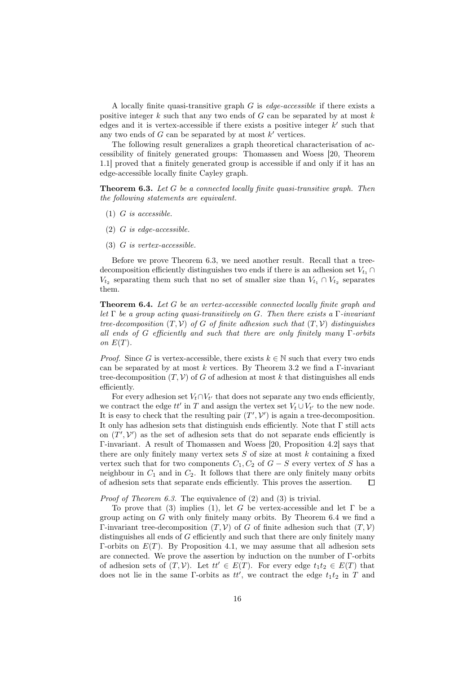A locally finite quasi-transitive graph  $G$  is *edge-accessible* if there exists a positive integer  $k$  such that any two ends of  $G$  can be separated by at most  $k$ edges and it is vertex-accessible if there exists a positive integer  $k'$  such that any two ends of  $G$  can be separated by at most  $k'$  vertices.

The following result generalizes a graph theoretical characterisation of accessibility of finitely generated groups: Thomassen and Woess [20, Theorem 1.1] proved that a finitely generated group is accessible if and only if it has an edge-accessible locally finite Cayley graph.

**Theorem 6.3.** Let  $G$  be a connected locally finite quasi-transitive graph. Then the following statements are equivalent.

- $(1)$  G is accessible.
- (2) G is edge-accessible.
- (3) G is vertex-accessible.

Before we prove Theorem 6.3, we need another result. Recall that a treedecomposition efficiently distinguishes two ends if there is an adhesion set  $V_{t_1} \cap$  $V_{t_2}$  separating them such that no set of smaller size than  $V_{t_1} \cap V_{t_2}$  separates them.

**Theorem 6.4.** Let G be an vertex-accessible connected locally finite graph and let  $\Gamma$  be a group acting quasi-transitively on G. Then there exists a  $\Gamma$ -invariant tree-decomposition  $(T, V)$  of G of finite adhesion such that  $(T, V)$  distinguishes all ends of G efficiently and such that there are only finitely many  $\Gamma$ -orbits on  $E(T)$ .

*Proof.* Since G is vertex-accessible, there exists  $k \in \mathbb{N}$  such that every two ends can be separated by at most k vertices. By Theorem 3.2 we find a  $\Gamma$ -invariant tree-decomposition  $(T, V)$  of G of adhesion at most k that distinguishes all ends efficiently.

For every adhesion set  $V_t \cap V_{t'}$  that does not separate any two ends efficiently, we contract the edge  $tt'$  in T and assign the vertex set  $V_t \cup V_{t'}$  to the new node. It is easy to check that the resulting pair  $(T', \mathcal{V}')$  is again a tree-decomposition. It only has adhesion sets that distinguish ends efficiently. Note that Γ still acts on  $(T', \mathcal{V}')$  as the set of adhesion sets that do not separate ends efficiently is Γ-invariant. A result of Thomassen and Woess [20, Proposition 4.2] says that there are only finitely many vertex sets  $S$  of size at most  $k$  containing a fixed vertex such that for two components  $C_1, C_2$  of  $G - S$  every vertex of S has a neighbour in  $C_1$  and in  $C_2$ . It follows that there are only finitely many orbits of adhesion sets that separate ends efficiently. This proves the assertion.  $\Box$ 

Proof of Theorem 6.3. The equivalence of (2) and (3) is trivial.

To prove that (3) implies (1), let G be vertex-accessible and let  $\Gamma$  be a group acting on G with only finitely many orbits. By Theorem 6.4 we find a Γ-invariant tree-decomposition  $(T, V)$  of G of finite adhesion such that  $(T, V)$ distinguishes all ends of  $G$  efficiently and such that there are only finitely many Γ-orbits on  $E(T)$ . By Proposition 4.1, we may assume that all adhesion sets are connected. We prove the assertion by induction on the number of Γ-orbits of adhesion sets of  $(T, V)$ . Let  $tt' \in E(T)$ . For every edge  $t_1 t_2 \in E(T)$  that does not lie in the same  $\Gamma$ -orbits as  $tt'$ , we contract the edge  $t_1t_2$  in  $T$  and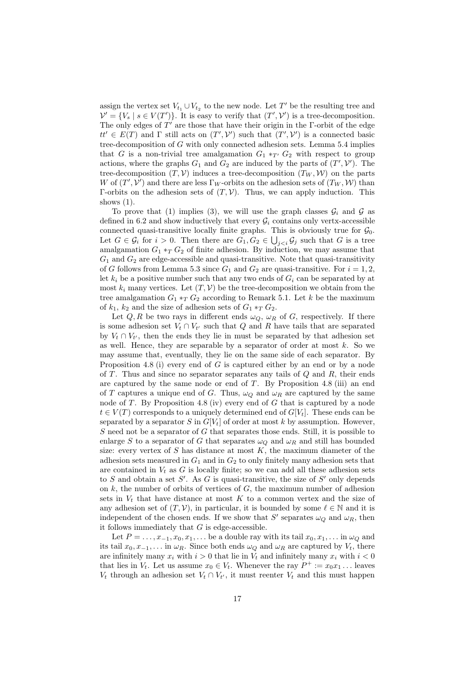assign the vertex set  $V_{t_1} \cup V_{t_2}$  to the new node. Let T' be the resulting tree and  $\mathcal{V}' = \{V_s \mid s \in V(T')\}$ . It is easy to verify that  $(T', \mathcal{V}')$  is a tree-decomposition. The only edges of  $T'$  are those that have their origin in the  $\Gamma$ -orbit of the edge  $tt' \in E(T)$  and  $\Gamma$  still acts on  $(T', \mathcal{V}')$  such that  $(T', \mathcal{V}')$  is a connected basic tree-decomposition of  $G$  with only connected adhesion sets. Lemma 5.4 implies that G is a non-trivial tree amalgamation  $G_1 *_{T'} G_2$  with respect to group actions, where the graphs  $G_1$  and  $G_2$  are induced by the parts of  $(T', \mathcal{V}')$ . The tree-decomposition  $(T, V)$  induces a tree-decomposition  $(T_W, W)$  on the parts W of  $(T', \mathcal{V}')$  and there are less  $\Gamma_W$ -orbits on the adhesion sets of  $(T_W, \mathcal{W})$  than Γ-orbits on the adhesion sets of  $(T, V)$ . Thus, we can apply induction. This shows  $(1)$ .

To prove that (1) implies (3), we will use the graph classes  $\mathcal{G}_i$  and  $\mathcal{G}$  as defined in 6.2 and show inductively that every  $\mathcal{G}_i$  contains only vertx-accessible connected quasi-transitive locally finite graphs. This is obviously true for  $\mathcal{G}_0$ . Let  $G \in \mathcal{G}_i$  for  $i > 0$ . Then there are  $G_1, G_2 \in \bigcup_{j < i} \mathcal{G}_j$  such that G is a tree amalgamation  $G_1 *_{T} G_2$  of finite adhesion. By induction, we may assume that  $G_1$  and  $G_2$  are edge-accessible and quasi-transitive. Note that quasi-transitivity of G follows from Lemma 5.3 since  $G_1$  and  $G_2$  are quasi-transitive. For  $i = 1, 2$ , let  $k_i$  be a positive number such that any two ends of  $G_i$  can be separated by at most  $k_i$  many vertices. Let  $(T, V)$  be the tree-decomposition we obtain from the tree amalgamation  $G_1 *_{T} G_2$  according to Remark 5.1. Let k be the maximum of  $k_1$ ,  $k_2$  and the size of adhesion sets of  $G_1 *_{T} G_2$ .

Let  $Q, R$  be two rays in different ends  $\omega_Q$ ,  $\omega_R$  of G, respectively. If there is some adhesion set  $V_t \cap V_{t'}$  such that Q and R have tails that are separated by  $V_t \cap V_{t'}$ , then the ends they lie in must be separated by that adhesion set as well. Hence, they are separable by a separator of order at most  $k$ . So we may assume that, eventually, they lie on the same side of each separator. By Proposition 4.8 (i) every end of G is captured either by an end or by a node of T. Thus and since no separator separates any tails of  $Q$  and  $R$ , their ends are captured by the same node or end of  $T$ . By Proposition 4.8 (iii) an end of T captures a unique end of G. Thus,  $\omega<sub>O</sub>$  and  $\omega<sub>R</sub>$  are captured by the same node of T. By Proposition 4.8 (iv) every end of  $G$  that is captured by a node  $t \in V(T)$  corresponds to a uniquely determined end of  $G[V_t]$ . These ends can be separated by a separator S in  $G[V_t]$  of order at most k by assumption. However, S need not be a separator of G that separates those ends. Still, it is possible to enlarge S to a separator of G that separates  $\omega_Q$  and  $\omega_R$  and still has bounded size: every vertex of  $S$  has distance at most  $K$ , the maximum diameter of the adhesion sets measured in  $G_1$  and in  $G_2$  to only finitely many adhesion sets that are contained in  $V_t$  as G is locally finite; so we can add all these adhesion sets to  $S$  and obtain a set  $S'$ . As  $G$  is quasi-transitive, the size of  $S'$  only depends on  $k$ , the number of orbits of vertices of  $G$ , the maximum number of adhesion sets in  $V_t$  that have distance at most K to a common vertex and the size of any adhesion set of  $(T, V)$ , in particular, it is bounded by some  $\ell \in \mathbb{N}$  and it is independent of the chosen ends. If we show that S' separates  $\omega_Q$  and  $\omega_R$ , then it follows immediately that  $G$  is edge-accessible.

Let  $P = \ldots, x_{-1}, x_0, x_1, \ldots$  be a double ray with its tail  $x_0, x_1, \ldots$  in  $\omega_Q$  and its tail  $x_0, x_{-1}, \ldots$  in  $\omega_R$ . Since both ends  $\omega_Q$  and  $\omega_R$  are captured by  $V_t$ , there are infinitely many  $x_i$  with  $i > 0$  that lie in  $V_t$  and infinitely many  $x_i$  with  $i < 0$ that lies in  $V_t$ . Let us assume  $x_0 \in V_t$ . Whenever the ray  $P^+ := x_0 x_1 \dots$  leaves  $V_t$  through an adhesion set  $V_t \cap V_{t'}$ , it must reenter  $V_t$  and this must happen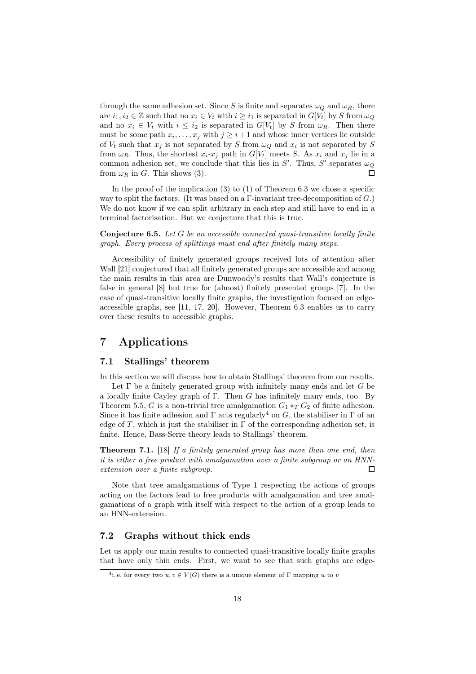through the same adhesion set. Since S is finite and separates  $\omega_Q$  and  $\omega_R$ , there are  $i_1, i_2 \in \mathbb{Z}$  such that no  $x_i \in V_t$  with  $i \geq i_1$  is separated in  $G[V_t]$  by S from  $\omega_Q$ and no  $x_i \in V_t$  with  $i \leq i_2$  is separated in  $G[V_t]$  by S from  $\omega_R$ . Then there must be some path  $x_i, \ldots, x_j$  with  $j \geq i+1$  and whose inner vertices lie outside of  $V_t$  such that  $x_j$  is not separated by S from  $\omega_Q$  and  $x_i$  is not separated by S from  $\omega_R$ . Thus, the shortest  $x_i-x_j$  path in  $G[V_t]$  meets S. As  $x_i$  and  $x_j$  lie in a common adhesion set, we conclude that this lies in S'. Thus, S' separates  $\omega_Q$ from  $\omega_R$  in G. This shows (3).

In the proof of the implication  $(3)$  to  $(1)$  of Theorem 6.3 we chose a specific way to split the factors. (It was based on a  $\Gamma$ -invariant tree-decomposition of  $G$ .) We do not know if we can split arbitrary in each step and still have to end in a terminal factorisation. But we conjecture that this is true.

**Conjecture 6.5.** Let  $G$  be an accessible connected quasi-transitive locally finite graph. Every process of splittings must end after finitely many steps.

Accessibility of finitely generated groups received lots of attention after Wall [21] conjectured that all finitely generated groups are accessible and among the main results in this area are Dunwoody's results that Wall's conjecture is false in general [8] but true for (almost) finitely presented groups [7]. In the case of quasi-transitive locally finite graphs, the investigation focused on edgeaccessible graphs, see [11, 17, 20]. However, Theorem 6.3 enables us to carry over these results to accessible graphs.

# 7 Applications

#### 7.1 Stallings' theorem

In this section we will discuss how to obtain Stallings' theorem from our results.

Let  $\Gamma$  be a finitely generated group with infinitely many ends and let G be a locally finite Cayley graph of  $\Gamma$ . Then G has infinitely many ends, too. By Theorem 5.5, G is a non-trivial tree amalgamation  $G_1 *_{T} G_2$  of finite adhesion. Since it has finite adhesion and  $\Gamma$  acts regularly<sup>4</sup> on G, the stabiliser in  $\Gamma$  of an edge of T, which is just the stabiliser in  $\Gamma$  of the corresponding adhesion set, is finite. Hence, Bass-Serre theory leads to Stallings' theorem.

Theorem 7.1. [18] If a finitely generated group has more than one end, then it is either a free product with amalgamation over a finite subgroup or an HNNextension over a finite subgroup. П

Note that tree amalgamations of Type 1 respecting the actions of groups acting on the factors lead to free products with amalgamation and tree amalgamations of a graph with itself with respect to the action of a group leads to an HNN-extension.

## 7.2 Graphs without thick ends

Let us apply our main results to connected quasi-transitive locally finite graphs that have only thin ends. First, we want to see that such graphs are edge-

<sup>&</sup>lt;sup>4</sup>i. e. for every two  $u, v \in V(G)$  there is a unique element of  $\Gamma$  mapping u to v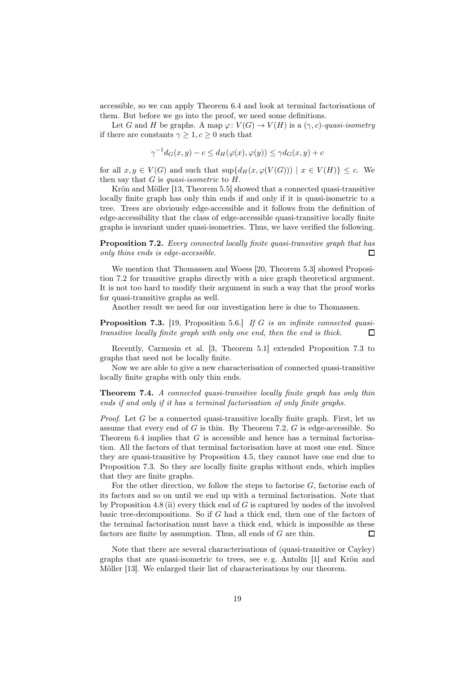accessible, so we can apply Theorem 6.4 and look at terminal factorisations of them. But before we go into the proof, we need some definitions.

Let G and H be graphs. A map  $\varphi: V(G) \to V(H)$  is a  $(\gamma, c)$ -quasi-isometry if there are constants  $\gamma \geq 1, c \geq 0$  such that

$$
\gamma^{-1}d_G(x,y) - c \le d_H(\varphi(x), \varphi(y)) \le \gamma d_G(x,y) + c
$$

for all  $x, y \in V(G)$  and such that  $\sup\{d_H(x, \varphi(V(G))) \mid x \in V(H)\} \leq c$ . We then say that  $G$  is *quasi-isometric* to  $H$ .

Krön and Möller [13, Theorem 5.5] showed that a connected quasi-transitive locally finite graph has only thin ends if and only if it is quasi-isometric to a tree. Trees are obviously edge-accessible and it follows from the definition of edge-accessibility that the class of edge-accessible quasi-transitive locally finite graphs is invariant under quasi-isometries. Thus, we have verified the following.

Proposition 7.2. Every connected locally finite quasi-transitive graph that has only thins ends is edge-accessible. П

We mention that Thomassen and Woess [20, Theorem 5.3] showed Proposition 7.2 for transitive graphs directly with a nice graph theoretical argument. It is not too hard to modify their argument in such a way that the proof works for quasi-transitive graphs as well.

Another result we need for our investigation here is due to Thomassen.

**Proposition 7.3.** [19, Proposition 5.6.] If G is an infinite connected quasitransitive locally finite graph with only one end, then the end is thick.  $\Box$ 

Recently, Carmesin et al. [3, Theorem 5.1] extended Proposition 7.3 to graphs that need not be locally finite.

Now we are able to give a new characterisation of connected quasi-transitive locally finite graphs with only thin ends.

### **Theorem 7.4.** A connected quasi-transitive locally finite graph has only thin ends if and only if it has a terminal factorisation of only finite graphs.

*Proof.* Let  $G$  be a connected quasi-transitive locally finite graph. First, let us assume that every end of  $G$  is thin. By Theorem 7.2,  $G$  is edge-accessible. So Theorem 6.4 implies that  $G$  is accessible and hence has a terminal factorisation. All the factors of that terminal factorisation have at most one end. Since they are quasi-transitive by Proposition 4.5, they cannot have one end due to Proposition 7.3. So they are locally finite graphs without ends, which implies that they are finite graphs.

For the other direction, we follow the steps to factorise  $G$ , factorise each of its factors and so on until we end up with a terminal factorisation. Note that by Proposition 4.8 (ii) every thick end of  $G$  is captured by nodes of the involved basic tree-decompositions. So if G had a thick end, then one of the factors of the terminal factorisation must have a thick end, which is impossible as these factors are finite by assumption. Thus, all ends of G are thin. П

Note that there are several characterisations of (quasi-transitive or Cayley) graphs that are quasi-isometric to trees, see e. g. Antolín [1] and Krön and Möller [13]. We enlarged their list of characterisations by our theorem.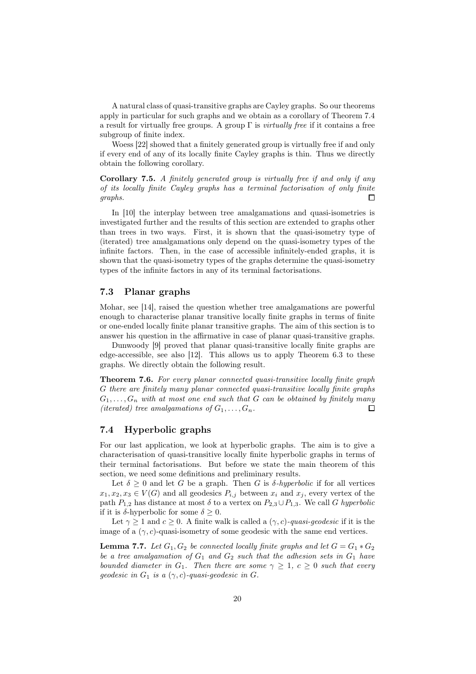A natural class of quasi-transitive graphs are Cayley graphs. So our theorems apply in particular for such graphs and we obtain as a corollary of Theorem 7.4 a result for virtually free groups. A group  $\Gamma$  is *virtually free* if it contains a free subgroup of finite index.

Woess [22] showed that a finitely generated group is virtually free if and only if every end of any of its locally finite Cayley graphs is thin. Thus we directly obtain the following corollary.

Corollary 7.5. A finitely generated group is virtually free if and only if any of its locally finite Cayley graphs has a terminal factorisation of only finite graphs. П

In [10] the interplay between tree amalgamations and quasi-isometries is investigated further and the results of this section are extended to graphs other than trees in two ways. First, it is shown that the quasi-isometry type of (iterated) tree amalgamations only depend on the quasi-isometry types of the infinite factors. Then, in the case of accessible infinitely-ended graphs, it is shown that the quasi-isometry types of the graphs determine the quasi-isometry types of the infinite factors in any of its terminal factorisations.

### 7.3 Planar graphs

Mohar, see [14], raised the question whether tree amalgamations are powerful enough to characterise planar transitive locally finite graphs in terms of finite or one-ended locally finite planar transitive graphs. The aim of this section is to answer his question in the affirmative in case of planar quasi-transitive graphs.

Dunwoody [9] proved that planar quasi-transitive locally finite graphs are edge-accessible, see also [12]. This allows us to apply Theorem 6.3 to these graphs. We directly obtain the following result.

**Theorem 7.6.** For every planar connected quasi-transitive locally finite graph G there are finitely many planar connected quasi-transitive locally finite graphs  $G_1, \ldots, G_n$  with at most one end such that G can be obtained by finitely many (iterated) tree amalgamations of  $G_1, \ldots, G_n$ . Π

## 7.4 Hyperbolic graphs

For our last application, we look at hyperbolic graphs. The aim is to give a characterisation of quasi-transitive locally finite hyperbolic graphs in terms of their terminal factorisations. But before we state the main theorem of this section, we need some definitions and preliminary results.

Let  $\delta \geq 0$  and let G be a graph. Then G is  $\delta$ -hyperbolic if for all vertices  $x_1, x_2, x_3 \in V(G)$  and all geodesics  $P_{i,j}$  between  $x_i$  and  $x_j$ , every vertex of the path  $P_{1,2}$  has distance at most  $\delta$  to a vertex on  $P_{2,3} \cup P_{1,3}$ . We call G hyperbolic if it is  $\delta$ -hyperbolic for some  $\delta \geq 0$ .

Let  $\gamma \geq 1$  and  $c \geq 0$ . A finite walk is called a  $(\gamma, c)$ -quasi-geodesic if it is the image of a  $(\gamma, c)$ -quasi-isometry of some geodesic with the same end vertices.

**Lemma 7.7.** Let  $G_1, G_2$  be connected locally finite graphs and let  $G = G_1 * G_2$ be a tree amalgamation of  $G_1$  and  $G_2$  such that the adhesion sets in  $G_1$  have bounded diameter in  $G_1$ . Then there are some  $\gamma \geq 1, c \geq 0$  such that every qeodesic in  $G_1$  is a  $(\gamma, c)$ -quasi-qeodesic in G.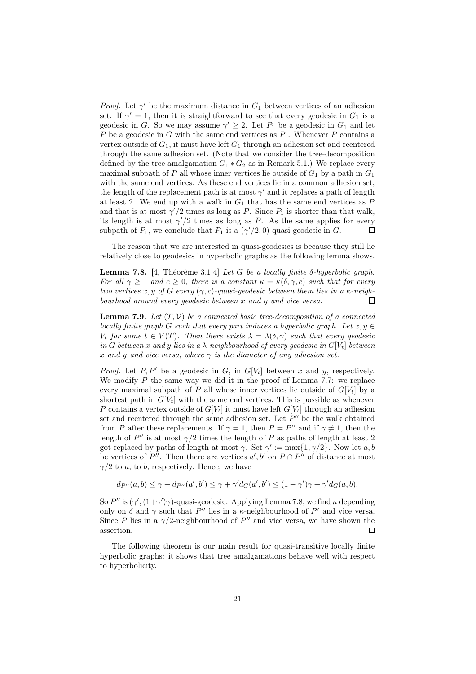*Proof.* Let  $\gamma'$  be the maximum distance in  $G_1$  between vertices of an adhesion set. If  $\gamma' = 1$ , then it is straightforward to see that every geodesic in  $G_1$  is a geodesic in G. So we may assume  $\gamma' \geq 2$ . Let  $P_1$  be a geodesic in  $G_1$  and let P be a geodesic in G with the same end vertices as  $P_1$ . Whenever P contains a vertex outside of  $G_1$ , it must have left  $G_1$  through an adhesion set and reentered through the same adhesion set. (Note that we consider the tree-decomposition defined by the tree amalgamation  $G_1 * G_2$  as in Remark 5.1.) We replace every maximal subpath of P all whose inner vertices lie outside of  $G_1$  by a path in  $G_1$ with the same end vertices. As these end vertices lie in a common adhesion set, the length of the replacement path is at most  $\gamma'$  and it replaces a path of length at least 2. We end up with a walk in  $G_1$  that has the same end vertices as  $P$ and that is at most  $\gamma'/2$  times as long as P. Since  $P_1$  is shorter than that walk, its length is at most  $\gamma/2$  times as long as P. As the same applies for every subpath of  $P_1$ , we conclude that  $P_1$  is a  $(\gamma'/2, 0)$ -quasi-geodesic in G.  $\Box$ 

The reason that we are interested in quasi-geodesics is because they still lie relatively close to geodesics in hyperbolic graphs as the following lemma shows.

**Lemma 7.8.** [4, Théorème 3.1.4] *Let G be a locally finite δ-hyperbolic graph.* For all  $\gamma \geq 1$  and  $c \geq 0$ , there is a constant  $\kappa = \kappa(\delta, \gamma, c)$  such that for every two vertices x, y of G every  $(\gamma, c)$ -quasi-geodesic between them lies in a  $\kappa$ -neighbourhood around every geodesic between x and y and vice versa.  $\Box$ 

**Lemma 7.9.** Let  $(T, V)$  be a connected basic tree-decomposition of a connected locally finite graph G such that every part induces a hyperbolic graph. Let  $x, y \in$ V<sub>t</sub> for some  $t \in V(T)$ . Then there exists  $\lambda = \lambda(\delta, \gamma)$  such that every geodesic in G between x and y lies in a  $\lambda$ -neighbourhood of every geodesic in  $G[V_t]$  between x and y and vice versa, where  $\gamma$  is the diameter of any adhesion set.

*Proof.* Let P, P' be a geodesic in G, in  $G[V_t]$  between x and y, respectively. We modify  $P$  the same way we did it in the proof of Lemma 7.7: we replace every maximal subpath of P all whose inner vertices lie outside of  $G[V_t]$  by a shortest path in  $G[V_t]$  with the same end vertices. This is possible as whenever P contains a vertex outside of  $G[V_t]$  it must have left  $G[V_t]$  through an adhesion set and reentered through the same adhesion set. Let  $P''$  be the walk obtained from P after these replacements. If  $\gamma = 1$ , then  $P = P''$  and if  $\gamma \neq 1$ , then the length of  $P''$  is at most  $\gamma/2$  times the length of P as paths of length at least 2 got replaced by paths of length at most  $\gamma$ . Set  $\gamma' := \max\{1, \gamma/2\}$ . Now let a, b be vertices of  $P''$ . Then there are vertices  $a', b'$  on  $P \cap P''$  of distance at most  $\gamma/2$  to a, to b, respectively. Hence, we have

$$
d_{P''}(a,b) \leq \gamma + d_{P''}(a',b') \leq \gamma + \gamma' d_G(a',b') \leq (1+\gamma')\gamma + \gamma' d_G(a,b).
$$

So  $P''$  is  $(\gamma', (1+\gamma')\gamma)$ -quasi-geodesic. Applying Lemma 7.8, we find  $\kappa$  depending only on  $\delta$  and  $\gamma$  such that  $P''$  lies in a  $\kappa$ -neighbourhood of  $P'$  and vice versa. Since P lies in a  $\gamma/2$ -neighbourhood of P'' and vice versa, we have shown the assertion.  $\Box$ 

The following theorem is our main result for quasi-transitive locally finite hyperbolic graphs: it shows that tree amalgamations behave well with respect to hyperbolicity.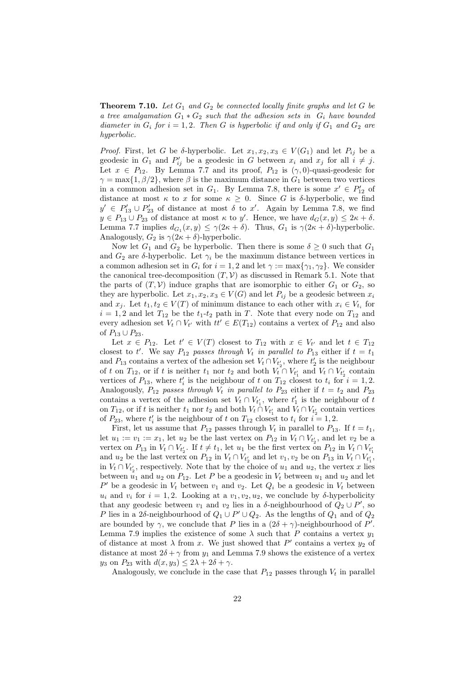**Theorem 7.10.** Let  $G_1$  and  $G_2$  be connected locally finite graphs and let G be a tree amalgamation  $G_1 * G_2$  such that the adhesion sets in  $G_i$  have bounded diameter in  $G_i$  for  $i = 1, 2$ . Then G is hyperbolic if and only if  $G_1$  and  $G_2$  are hyperbolic.

*Proof.* First, let G be  $\delta$ -hyperbolic. Let  $x_1, x_2, x_3 \in V(G_1)$  and let  $P_{ij}$  be a geodesic in  $G_1$  and  $P'_{ij}$  be a geodesic in G between  $x_i$  and  $x_j$  for all  $i \neq j$ . Let  $x \in P_{12}$ . By Lemma 7.7 and its proof,  $P_{12}$  is  $(\gamma, 0)$ -quasi-geodesic for  $\gamma = \max\{1, \beta/2\}$ , where  $\beta$  is the maximum distance in  $G_1$  between two vertices in a common adhesion set in  $G_1$ . By Lemma 7.8, there is some  $x' \in P'_{12}$  of distance at most  $\kappa$  to x for some  $\kappa \geq 0$ . Since G is  $\delta$ -hyperbolic, we find  $y' \in P'_{13} \cup P'_{23}$  of distance at most  $\delta$  to x'. Again by Lemma 7.8, we find  $y \in P_{13} \cup P_{23}$  of distance at most  $\kappa$  to  $y'$ . Hence, we have  $d_G(x, y) \leq 2\kappa + \delta$ . Lemma 7.7 implies  $d_{G_1}(x, y) \leq \gamma(2\kappa + \delta)$ . Thus,  $G_1$  is  $\gamma(2\kappa + \delta)$ -hyperbolic. Analogously,  $G_2$  is  $\gamma(2\kappa+\delta)$ -hyperbolic.

Now let  $G_1$  and  $G_2$  be hyperbolic. Then there is some  $\delta \geq 0$  such that  $G_1$ and  $G_2$  are δ-hyperbolic. Let  $\gamma_i$  be the maximum distance between vertices in a common adhesion set in  $G_i$  for  $i = 1, 2$  and let  $\gamma := \max\{\gamma_1, \gamma_2\}$ . We consider the canonical tree-decomposition  $(T, V)$  as discussed in Remark 5.1. Note that the parts of  $(T, V)$  induce graphs that are isomorphic to either  $G_1$  or  $G_2$ , so they are hyperbolic. Let  $x_1, x_2, x_3 \in V(G)$  and let  $P_{ij}$  be a geodesic between  $x_i$ and  $x_j$ . Let  $t_1, t_2 \in V(T)$  of minimum distance to each other with  $x_i \in V_{t_i}$  for  $i = 1, 2$  and let  $T_{12}$  be the  $t_1-t_2$  path in T. Note that every node on  $T_{12}$  and every adhesion set  $V_t \cap V_{t'}$  with  $tt' \in E(T_{12})$  contains a vertex of  $P_{12}$  and also of  $P_{13} ∪ P_{23}$ .

Let  $x \in P_{12}$ . Let  $t' \in V(T)$  closest to  $T_{12}$  with  $x \in V_{t'}$  and let  $t \in T_{12}$ closest to t'. We say  $P_{12}$  passes through  $V_t$  in parallel to  $P_{13}$  either if  $t = t_1$ and  $P_{13}$  contains a vertex of the adhesion set  $V_t \cap V_{t_2}$ , where  $t_2$  is the neighbour of t on  $T_{12}$ , or if t is neither  $t_1$  nor  $t_2$  and both  $V_t \cap V_{t_1'}$  and  $V_t \cap V_{t_2'}$  contain vertices of  $P_{13}$ , where  $t'_i$  is the neighbour of t on  $T_{12}$  closest to  $t_i$  for  $i = 1, 2$ . Analogously,  $P_{12}$  passes through  $V_t$  in parallel to  $P_{23}$  either if  $t = t_2$  and  $P_{23}$ contains a vertex of the adhesion set  $V_t \cap V_{t_1}$ , where  $t_1'$  is the neighbour of t on  $T_{12}$ , or if t is neither  $t_1$  nor  $t_2$  and both  $V_t \cap V_{t_1'}$  and  $V_t \cap V_{t_2'}$  contain vertices of  $P_{23}$ , where  $t_i'$  is the neighbour of t on  $T_{12}$  closest to  $t_i$  for  $i = 1, 2$ .

First, let us assume that  $P_{12}$  passes through  $V_t$  in parallel to  $P_{13}$ . If  $t = t_1$ , let  $u_1 := v_1 := x_1$ , let  $u_2$  be the last vertex on  $P_{12}$  in  $V_t \cap V_{t'_2}$ , and let  $v_2$  be a vertex on  $P_{13}$  in  $V_t \cap V_{t_2'}$ . If  $t \neq t_1$ , let  $u_1$  be the first vertex on  $P_{12}$  in  $V_t \cap V_{t_1'}$ and  $u_2$  be the last vertex on  $P_{12}$  in  $V_t \cap V_{t'_2}$  and let  $v_1, v_2$  be on  $P_{13}$  in  $V_t \cap V_{t'_1}$ , in  $V_t \cap V_{t'_2}$ , respectively. Note that by the choice of  $u_1$  and  $u_2$ , the vertex x lies between  $u_1$  and  $u_2$  on  $P_{12}$ . Let P be a geodesic in  $V_t$  between  $u_1$  and  $u_2$  and let  $P'$  be a geodesic in  $V_t$  between  $v_1$  and  $v_2$ . Let  $Q_i$  be a geodesic in  $V_t$  between  $u_i$  and  $v_i$  for  $i = 1, 2$ . Looking at a  $v_1, v_2, u_2$ , we conclude by  $\delta$ -hyperbolicity that any geodesic between  $v_1$  and  $v_2$  lies in a  $\delta$ -neighbourhood of  $Q_2 \cup P'$ , so P lies in a 2δ-neighbourhood of  $Q_1 \cup P' \cup Q_2$ . As the lengths of  $Q_1$  and of  $Q_2$ are bounded by  $\gamma$ , we conclude that P lies in a  $(2\delta + \gamma)$ -neighbourhood of P'. Lemma 7.9 implies the existence of some  $\lambda$  such that P contains a vertex  $y_1$ of distance at most  $\lambda$  from x. We just showed that P' contains a vertex  $y_2$  of distance at most  $2\delta + \gamma$  from  $y_1$  and Lemma 7.9 shows the existence of a vertex  $y_3$  on  $P_{23}$  with  $d(x, y_3) \leq 2\lambda + 2\delta + \gamma$ .

Analogously, we conclude in the case that  $P_{12}$  passes through  $V_t$  in parallel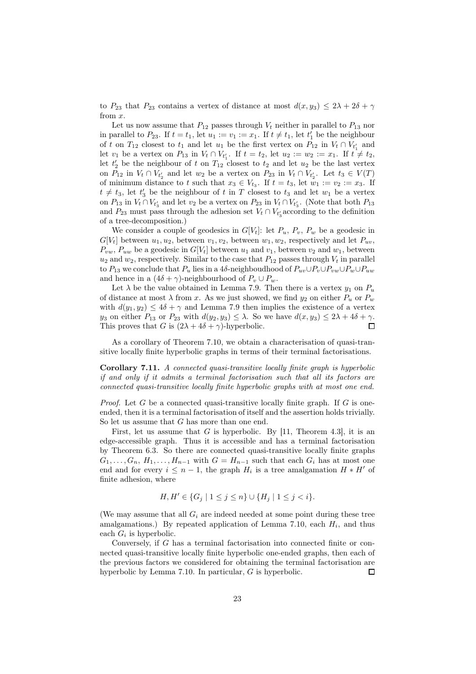to  $P_{23}$  that  $P_{23}$  contains a vertex of distance at most  $d(x, y_3) \leq 2\lambda + 2\delta + \gamma$ from x.

Let us now assume that  $P_{12}$  passes through  $V_t$  neither in parallel to  $P_{13}$  nor in parallel to  $P_{23}$ . If  $t = t_1$ , let  $u_1 := v_1 := x_1$ . If  $t \neq t_1$ , let  $t'_1$  be the neighbour of t on  $T_{12}$  closest to  $t_1$  and let  $u_1$  be the first vertex on  $P_{12}$  in  $V_t \cap V_{t'_1}$  and let  $v_1$  be a vertex on  $P_{13}$  in  $V_t \cap V_{t'_1}$ . If  $t = t_2$ , let  $u_2 := w_2 := x_1$ . If  $t \neq t_2$ , let  $t_2$  be the neighbour of t on  $T_{12}$  closest to  $t_2$  and let  $u_2$  be the last vertex on  $P_{12}$  in  $V_t \cap V_{t'_2}$  and let  $w_2$  be a vertex on  $P_{23}$  in  $V_t \cap V_{t'_2}$ . Let  $t_3 \in V(T)$ of minimum distance to t such that  $x_3 \in V_{t_3}$ . If  $t = t_3$ , let  $w_1 := v_2 := x_3$ . If  $t \neq t_3$ , let  $t'_3$  be the neighbour of t in T closest to  $t_3$  and let  $w_1$  be a vertex on  $P_{13}$  in  $V_t \cap V_{t'_3}$  and let  $v_2$  be a vertex on  $P_{23}$  in  $V_t \cap V_{t'_3}$ . (Note that both  $P_{13}$ and  $P_{23}$  must pass through the adhesion set  $V_t \cap V_{t'_3}$  according to the definition of a tree-decomposition.)

We consider a couple of geodesics in  $G[V_t]$ : let  $P_u$ ,  $P_v$ ,  $P_w$  be a geodesic in  $G[V_t]$  between  $u_1, u_2$ , between  $v_1, v_2$ , between  $w_1, w_2$ , respectively and let  $P_{uv}$ ,  $P_{vw}, P_{uw}$  be a geodesic in  $G[V_t]$  between  $u_1$  and  $v_1$ , between  $v_2$  and  $w_1$ , between  $u_2$  and  $w_2$ , respectively. Similar to the case that  $P_{12}$  passes through  $V_t$  in parallel to  $P_{13}$  we conclude that  $P_u$  lies in a 4δ-neighboudhood of  $P_{uv} \cup P_v \cup P_{vw} \cup P_w \cup P_{uw}$ and hence in a  $(4\delta + \gamma)$ -neighbourhood of  $P_v \cup P_w$ .

Let  $\lambda$  be the value obtained in Lemma 7.9. Then there is a vertex  $y_1$  on  $P_u$ of distance at most  $\lambda$  from x. As we just showed, we find  $y_2$  on either  $P_u$  or  $P_w$ with  $d(y_1, y_2) \leq 4\delta + \gamma$  and Lemma 7.9 then implies the existence of a vertex  $y_3$  on either  $P_{13}$  or  $P_{23}$  with  $d(y_2, y_3) \leq \lambda$ . So we have  $d(x, y_3) \leq 2\lambda + 4\delta + \gamma$ . This proves that G is  $(2\lambda + 4\delta + \gamma)$ -hyperbolic.  $\Box$ 

As a corollary of Theorem 7.10, we obtain a characterisation of quasi-transitive locally finite hyperbolic graphs in terms of their terminal factorisations.

Corollary 7.11. A connected quasi-transitive locally finite graph is hyperbolic if and only if it admits a terminal factorisation such that all its factors are connected quasi-transitive locally finite hyperbolic graphs with at most one end.

*Proof.* Let  $G$  be a connected quasi-transitive locally finite graph. If  $G$  is oneended, then it is a terminal factorisation of itself and the assertion holds trivially. So let us assume that G has more than one end.

First, let us assume that G is hyperbolic. By  $[11,$  Theorem 4.3, it is an edge-accessible graph. Thus it is accessible and has a terminal factorisation by Theorem 6.3. So there are connected quasi-transitive locally finite graphs  $G_1, \ldots, G_n, H_1, \ldots, H_{n-1}$  with  $G = H_{n-1}$  such that each  $G_i$  has at most one end and for every  $i \leq n-1$ , the graph  $H_i$  is a tree amalgamation  $H * H'$  of finite adhesion, where

$$
H, H' \in \{G_j \mid 1 \le j \le n\} \cup \{H_j \mid 1 \le j < i\}.
$$

(We may assume that all  $G_i$  are indeed needed at some point during these tree amalgamations.) By repeated application of Lemma 7.10, each  $H_i$ , and thus each  $G_i$  is hyperbolic.

Conversely, if G has a terminal factorisation into connected finite or connected quasi-transitive locally finite hyperbolic one-ended graphs, then each of the previous factors we considered for obtaining the terminal factorisation are hyperbolic by Lemma 7.10. In particular, G is hyperbolic. 口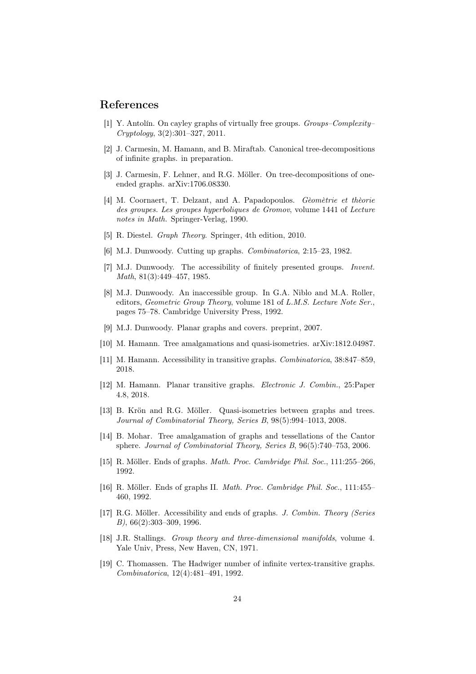# References

- [1] Y. Antolín. On cayley graphs of virtually free groups. Groups–Complexity– Cryptology, 3(2):301–327, 2011.
- [2] J. Carmesin, M. Hamann, and B. Miraftab. Canonical tree-decompositions of infinite graphs. in preparation.
- [3] J. Carmesin, F. Lehner, and R.G. Möller. On tree-decompositions of oneended graphs. arXiv:1706.08330.
- [4] M. Coornaert, T. Delzant, and A. Papadopoulos. Gèomètrie et thèorie des groupes. Les groupes hyperboliques de Gromov, volume 1441 of Lecture notes in Math. Springer-Verlag, 1990.
- [5] R. Diestel. Graph Theory. Springer, 4th edition, 2010.
- [6] M.J. Dunwoody. Cutting up graphs. Combinatorica, 2:15–23, 1982.
- [7] M.J. Dunwoody. The accessibility of finitely presented groups. Invent. Math, 81(3):449–457, 1985.
- [8] M.J. Dunwoody. An inaccessible group. In G.A. Niblo and M.A. Roller, editors, Geometric Group Theory, volume 181 of L.M.S. Lecture Note Ser., pages 75–78. Cambridge University Press, 1992.
- [9] M.J. Dunwoody. Planar graphs and covers. preprint, 2007.
- [10] M. Hamann. Tree amalgamations and quasi-isometries. arXiv:1812.04987.
- [11] M. Hamann. Accessibility in transitive graphs. Combinatorica, 38:847–859, 2018.
- [12] M. Hamann. Planar transitive graphs. Electronic J. Combin., 25:Paper 4.8, 2018.
- [13] B. Krön and R.G. Möller. Quasi-isometries between graphs and trees. Journal of Combinatorial Theory, Series B, 98(5):994–1013, 2008.
- [14] B. Mohar. Tree amalgamation of graphs and tessellations of the Cantor sphere. Journal of Combinatorial Theory, Series B, 96(5):740–753, 2006.
- [15] R. Möller. Ends of graphs. Math. Proc. Cambridge Phil. Soc., 111:255–266, 1992.
- [16] R. Möller. Ends of graphs II. Math. Proc. Cambridge Phil. Soc., 111:455– 460, 1992.
- [17] R.G. Möller. Accessibility and ends of graphs. J. Combin. Theory (Series B), 66(2):303–309, 1996.
- [18] J.R. Stallings. Group theory and three-dimensional manifolds, volume 4. Yale Univ, Press, New Haven, CN, 1971.
- [19] C. Thomassen. The Hadwiger number of infinite vertex-transitive graphs. Combinatorica, 12(4):481–491, 1992.